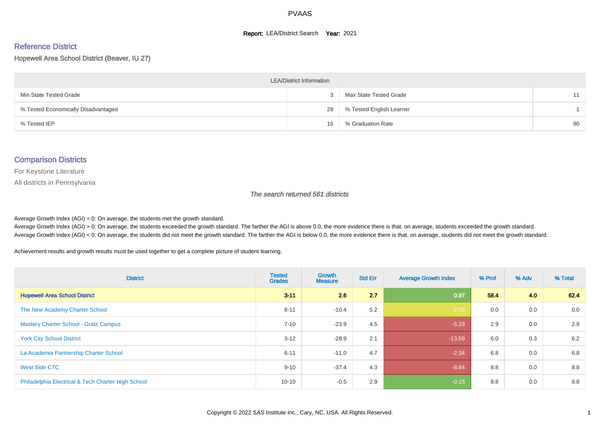#### **Report: LEA/District Search Year: 2021**

# Reference District

Hopewell Area School District (Beaver, IU 27)

| <b>LEA/District Information</b>     |    |                          |    |  |  |  |  |  |  |  |
|-------------------------------------|----|--------------------------|----|--|--|--|--|--|--|--|
| Min State Tested Grade              |    | Max State Tested Grade   | 11 |  |  |  |  |  |  |  |
| % Tested Economically Disadvantaged | 28 | % Tested English Learner |    |  |  |  |  |  |  |  |
| % Tested IEP                        | 16 | % Graduation Rate        | 90 |  |  |  |  |  |  |  |

#### Comparison Districts

For Keystone Literature

All districts in Pennsylvania

The search returned 561 districts

Average Growth Index  $(AGI) = 0$ : On average, the students met the growth standard.

Average Growth Index (AGI) > 0: On average, the students exceeded the growth standard. The farther the AGI is above 0.0, the more evidence there is that, on average, students exceeded the growth standard. Average Growth Index (AGI) < 0: On average, the students did not meet the growth standard. The farther the AGI is below 0.0, the more evidence there is that, on average, students did not meet the growth standard.

Achievement results and growth results must be used together to get a complete picture of student learning.

| <b>District</b>                                    | <b>Tested</b><br><b>Grades</b> | Growth<br><b>Measure</b> | <b>Std Err</b> | <b>Average Growth Index</b> | % Prof | % Adv | % Total |
|----------------------------------------------------|--------------------------------|--------------------------|----------------|-----------------------------|--------|-------|---------|
| <b>Hopewell Area School District</b>               | $3 - 11$                       | 2.6                      | 2.7            | 0.97                        | 58.4   | 4.0   | 62.4    |
| The New Academy Charter School                     | $8 - 11$                       | $-10.4$                  | 5.2            | $-2.00$                     | 0.0    | 0.0   | 0.0     |
| <b>Mastery Charter School - Gratz Campus</b>       | $7 - 10$                       | $-23.9$                  | 4.5            | $-5.29$                     | 2.9    | 0.0   | 2.9     |
| <b>York City School District</b>                   | $3 - 12$                       | $-28.9$                  | 2.1            | $-13.59$                    | 6.0    | 0.3   | 6.2     |
| La Academia Partnership Charter School             | $6 - 11$                       | $-11.0$                  | 4.7            | $-2.34$                     | 6.8    | 0.0   | 6.8     |
| West Side CTC                                      | $9 - 10$                       | $-37.4$                  | 4.3            | $-8.64$                     | 8.8    | 0.0   | 8.8     |
| Philadelphia Electrical & Tech Charter High School | $10 - 10$                      | $-0.5$                   | 2.9            | $-0.15$                     | 8.8    | 0.0   | 8.8     |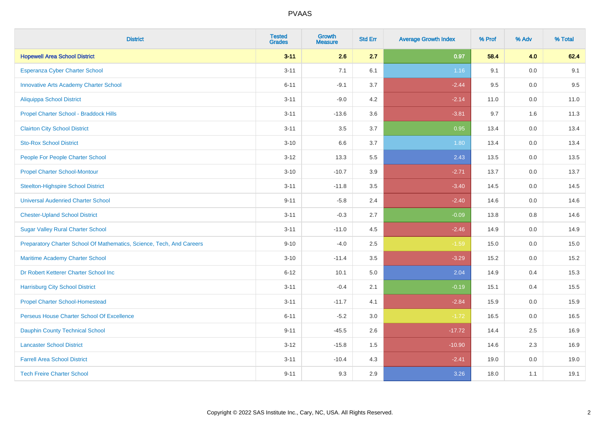| <b>District</b>                                                       | <b>Tested</b><br><b>Grades</b> | <b>Growth</b><br><b>Measure</b> | <b>Std Err</b> | <b>Average Growth Index</b> | % Prof | % Adv   | % Total |
|-----------------------------------------------------------------------|--------------------------------|---------------------------------|----------------|-----------------------------|--------|---------|---------|
| <b>Hopewell Area School District</b>                                  | $3 - 11$                       | 2.6                             | 2.7            | 0.97                        | 58.4   | 4.0     | 62.4    |
| Esperanza Cyber Charter School                                        | $3 - 11$                       | 7.1                             | 6.1            | 1.16                        | 9.1    | 0.0     | 9.1     |
| <b>Innovative Arts Academy Charter School</b>                         | $6 - 11$                       | $-9.1$                          | 3.7            | $-2.44$                     | 9.5    | 0.0     | 9.5     |
| <b>Aliquippa School District</b>                                      | $3 - 11$                       | $-9.0$                          | 4.2            | $-2.14$                     | 11.0   | $0.0\,$ | 11.0    |
| Propel Charter School - Braddock Hills                                | $3 - 11$                       | $-13.6$                         | 3.6            | $-3.81$                     | 9.7    | 1.6     | 11.3    |
| <b>Clairton City School District</b>                                  | $3 - 11$                       | 3.5                             | 3.7            | 0.95                        | 13.4   | 0.0     | 13.4    |
| <b>Sto-Rox School District</b>                                        | $3 - 10$                       | 6.6                             | 3.7            | 1.80                        | 13.4   | 0.0     | 13.4    |
| People For People Charter School                                      | $3 - 12$                       | 13.3                            | 5.5            | 2.43                        | 13.5   | 0.0     | 13.5    |
| <b>Propel Charter School-Montour</b>                                  | $3 - 10$                       | $-10.7$                         | 3.9            | $-2.71$                     | 13.7   | 0.0     | 13.7    |
| <b>Steelton-Highspire School District</b>                             | $3 - 11$                       | $-11.8$                         | 3.5            | $-3.40$                     | 14.5   | 0.0     | 14.5    |
| <b>Universal Audenried Charter School</b>                             | $9 - 11$                       | $-5.8$                          | 2.4            | $-2.40$                     | 14.6   | 0.0     | 14.6    |
| <b>Chester-Upland School District</b>                                 | $3 - 11$                       | $-0.3$                          | 2.7            | $-0.09$                     | 13.8   | 0.8     | 14.6    |
| <b>Sugar Valley Rural Charter School</b>                              | $3 - 11$                       | $-11.0$                         | 4.5            | $-2.46$                     | 14.9   | 0.0     | 14.9    |
| Preparatory Charter School Of Mathematics, Science, Tech, And Careers | $9 - 10$                       | $-4.0$                          | 2.5            | $-1.59$                     | 15.0   | $0.0\,$ | 15.0    |
| Maritime Academy Charter School                                       | $3 - 10$                       | $-11.4$                         | 3.5            | $-3.29$                     | 15.2   | 0.0     | 15.2    |
| Dr Robert Ketterer Charter School Inc                                 | $6 - 12$                       | 10.1                            | 5.0            | 2.04                        | 14.9   | 0.4     | 15.3    |
| <b>Harrisburg City School District</b>                                | $3 - 11$                       | $-0.4$                          | 2.1            | $-0.19$                     | 15.1   | 0.4     | 15.5    |
| <b>Propel Charter School-Homestead</b>                                | $3 - 11$                       | $-11.7$                         | 4.1            | $-2.84$                     | 15.9   | 0.0     | 15.9    |
| Perseus House Charter School Of Excellence                            | $6 - 11$                       | $-5.2$                          | 3.0            | $-1.72$                     | 16.5   | $0.0\,$ | 16.5    |
| <b>Dauphin County Technical School</b>                                | $9 - 11$                       | $-45.5$                         | 2.6            | $-17.72$                    | 14.4   | 2.5     | 16.9    |
| <b>Lancaster School District</b>                                      | $3 - 12$                       | $-15.8$                         | 1.5            | $-10.90$                    | 14.6   | 2.3     | 16.9    |
| <b>Farrell Area School District</b>                                   | $3 - 11$                       | $-10.4$                         | 4.3            | $-2.41$                     | 19.0   | $0.0\,$ | 19.0    |
| <b>Tech Freire Charter School</b>                                     | $9 - 11$                       | 9.3                             | 2.9            | 3.26                        | 18.0   | 1.1     | 19.1    |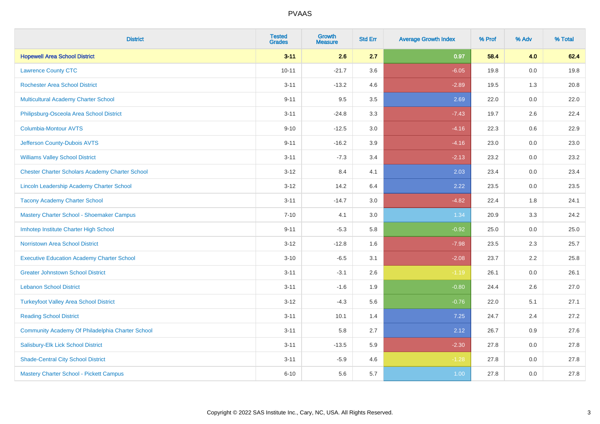| <b>District</b>                                        | <b>Tested</b><br><b>Grades</b> | Growth<br><b>Measure</b> | <b>Std Err</b> | <b>Average Growth Index</b> | % Prof | % Adv | % Total |
|--------------------------------------------------------|--------------------------------|--------------------------|----------------|-----------------------------|--------|-------|---------|
| <b>Hopewell Area School District</b>                   | $3 - 11$                       | 2.6                      | 2.7            | 0.97                        | 58.4   | 4.0   | 62.4    |
| <b>Lawrence County CTC</b>                             | $10 - 11$                      | $-21.7$                  | 3.6            | $-6.05$                     | 19.8   | 0.0   | 19.8    |
| <b>Rochester Area School District</b>                  | $3 - 11$                       | $-13.2$                  | 4.6            | $-2.89$                     | 19.5   | 1.3   | 20.8    |
| Multicultural Academy Charter School                   | $9 - 11$                       | 9.5                      | 3.5            | 2.69                        | 22.0   | 0.0   | 22.0    |
| Philipsburg-Osceola Area School District               | $3 - 11$                       | $-24.8$                  | 3.3            | $-7.43$                     | 19.7   | 2.6   | 22.4    |
| <b>Columbia-Montour AVTS</b>                           | $9 - 10$                       | $-12.5$                  | 3.0            | $-4.16$                     | 22.3   | 0.6   | 22.9    |
| Jefferson County-Dubois AVTS                           | $9 - 11$                       | $-16.2$                  | 3.9            | $-4.16$                     | 23.0   | 0.0   | 23.0    |
| <b>Williams Valley School District</b>                 | $3 - 11$                       | $-7.3$                   | 3.4            | $-2.13$                     | 23.2   | 0.0   | 23.2    |
| <b>Chester Charter Scholars Academy Charter School</b> | $3 - 12$                       | 8.4                      | 4.1            | 2.03                        | 23.4   | 0.0   | 23.4    |
| Lincoln Leadership Academy Charter School              | $3 - 12$                       | 14.2                     | 6.4            | 2.22                        | 23.5   | 0.0   | 23.5    |
| <b>Tacony Academy Charter School</b>                   | $3 - 11$                       | $-14.7$                  | 3.0            | $-4.82$                     | 22.4   | 1.8   | 24.1    |
| Mastery Charter School - Shoemaker Campus              | $7 - 10$                       | 4.1                      | 3.0            | 1.34                        | 20.9   | 3.3   | 24.2    |
| Imhotep Institute Charter High School                  | $9 - 11$                       | $-5.3$                   | 5.8            | $-0.92$                     | 25.0   | 0.0   | 25.0    |
| <b>Norristown Area School District</b>                 | $3 - 12$                       | $-12.8$                  | 1.6            | $-7.98$                     | 23.5   | 2.3   | 25.7    |
| <b>Executive Education Academy Charter School</b>      | $3 - 10$                       | $-6.5$                   | 3.1            | $-2.08$                     | 23.7   | 2.2   | 25.8    |
| <b>Greater Johnstown School District</b>               | $3 - 11$                       | $-3.1$                   | 2.6            | $-1.19$                     | 26.1   | 0.0   | 26.1    |
| <b>Lebanon School District</b>                         | $3 - 11$                       | $-1.6$                   | 1.9            | $-0.80$                     | 24.4   | 2.6   | 27.0    |
| <b>Turkeyfoot Valley Area School District</b>          | $3 - 12$                       | $-4.3$                   | 5.6            | $-0.76$                     | 22.0   | 5.1   | 27.1    |
| <b>Reading School District</b>                         | $3 - 11$                       | 10.1                     | 1.4            | 7.25                        | 24.7   | 2.4   | 27.2    |
| Community Academy Of Philadelphia Charter School       | $3 - 11$                       | 5.8                      | 2.7            | 2.12                        | 26.7   | 0.9   | 27.6    |
| Salisbury-Elk Lick School District                     | $3 - 11$                       | $-13.5$                  | 5.9            | $-2.30$                     | 27.8   | 0.0   | 27.8    |
| <b>Shade-Central City School District</b>              | $3 - 11$                       | $-5.9$                   | 4.6            | $-1.28$                     | 27.8   | 0.0   | 27.8    |
| <b>Mastery Charter School - Pickett Campus</b>         | $6 - 10$                       | 5.6                      | 5.7            | 1.00                        | 27.8   | 0.0   | 27.8    |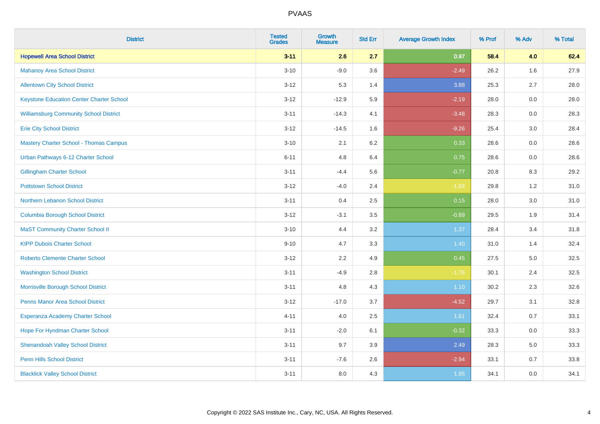| <b>District</b>                                 | <b>Tested</b><br><b>Grades</b> | <b>Growth</b><br><b>Measure</b> | <b>Std Err</b> | <b>Average Growth Index</b> | % Prof | % Adv | % Total |
|-------------------------------------------------|--------------------------------|---------------------------------|----------------|-----------------------------|--------|-------|---------|
| <b>Hopewell Area School District</b>            | $3 - 11$                       | 2.6                             | 2.7            | 0.97                        | 58.4   | 4.0   | 62.4    |
| <b>Mahanoy Area School District</b>             | $3 - 10$                       | $-9.0$                          | 3.6            | $-2.49$                     | 26.2   | 1.6   | 27.9    |
| <b>Allentown City School District</b>           | $3 - 12$                       | 5.3                             | 1.4            | 3.88                        | 25.3   | 2.7   | 28.0    |
| <b>Keystone Education Center Charter School</b> | $3-12$                         | $-12.9$                         | 5.9            | $-2.19$                     | 28.0   | 0.0   | 28.0    |
| <b>Williamsburg Community School District</b>   | $3 - 11$                       | $-14.3$                         | 4.1            | $-3.48$                     | 28.3   | 0.0   | 28.3    |
| <b>Erie City School District</b>                | $3 - 12$                       | $-14.5$                         | 1.6            | $-9.26$                     | 25.4   | 3.0   | 28.4    |
| <b>Mastery Charter School - Thomas Campus</b>   | $3 - 10$                       | 2.1                             | 6.2            | 0.33                        | 28.6   | 0.0   | 28.6    |
| Urban Pathways 6-12 Charter School              | $6 - 11$                       | 4.8                             | 6.4            | 0.75                        | 28.6   | 0.0   | 28.6    |
| <b>Gillingham Charter School</b>                | $3 - 11$                       | $-4.4$                          | 5.6            | $-0.77$                     | 20.8   | 8.3   | 29.2    |
| <b>Pottstown School District</b>                | $3-12$                         | $-4.0$                          | 2.4            | $-1.68$                     | 29.8   | 1.2   | 31.0    |
| Northern Lebanon School District                | $3 - 11$                       | 0.4                             | 2.5            | 0.15                        | 28.0   | 3.0   | 31.0    |
| <b>Columbia Borough School District</b>         | $3 - 12$                       | $-3.1$                          | 3.5            | $-0.89$                     | 29.5   | 1.9   | 31.4    |
| <b>MaST Community Charter School II</b>         | $3 - 10$                       | 4.4                             | 3.2            | 1.37                        | 28.4   | 3.4   | 31.8    |
| <b>KIPP Dubois Charter School</b>               | $9 - 10$                       | 4.7                             | 3.3            | 1.40                        | 31.0   | 1.4   | 32.4    |
| <b>Roberto Clemente Charter School</b>          | $3 - 12$                       | 2.2                             | 4.9            | 0.45                        | 27.5   | 5.0   | 32.5    |
| <b>Washington School District</b>               | $3 - 11$                       | $-4.9$                          | $2.8\,$        | $-1.76$                     | 30.1   | 2.4   | 32.5    |
| Morrisville Borough School District             | $3 - 11$                       | 4.8                             | 4.3            | 1.10                        | 30.2   | 2.3   | 32.6    |
| Penns Manor Area School District                | $3 - 12$                       | $-17.0$                         | 3.7            | $-4.52$                     | 29.7   | 3.1   | 32.8    |
| Esperanza Academy Charter School                | $4 - 11$                       | 4.0                             | 2.5            | 1.61                        | 32.4   | 0.7   | 33.1    |
| Hope For Hyndman Charter School                 | $3 - 11$                       | $-2.0$                          | 6.1            | $-0.32$                     | 33.3   | 0.0   | 33.3    |
| <b>Shenandoah Valley School District</b>        | $3 - 11$                       | 9.7                             | 3.9            | 2.49                        | 28.3   | 5.0   | 33.3    |
| <b>Penn Hills School District</b>               | $3 - 11$                       | $-7.6$                          | 2.6            | $-2.94$                     | 33.1   | 0.7   | 33.8    |
| <b>Blacklick Valley School District</b>         | $3 - 11$                       | 8.0                             | 4.3            | 1.85                        | 34.1   | 0.0   | 34.1    |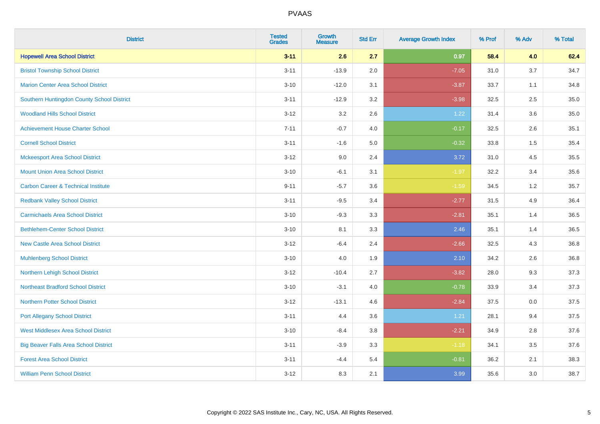| <b>District</b>                                | <b>Tested</b><br><b>Grades</b> | Growth<br><b>Measure</b> | <b>Std Err</b> | <b>Average Growth Index</b> | % Prof | % Adv | % Total |
|------------------------------------------------|--------------------------------|--------------------------|----------------|-----------------------------|--------|-------|---------|
| <b>Hopewell Area School District</b>           | $3 - 11$                       | 2.6                      | 2.7            | 0.97                        | 58.4   | 4.0   | 62.4    |
| <b>Bristol Township School District</b>        | $3 - 11$                       | $-13.9$                  | 2.0            | $-7.05$                     | 31.0   | 3.7   | 34.7    |
| <b>Marion Center Area School District</b>      | $3 - 10$                       | $-12.0$                  | 3.1            | $-3.87$                     | 33.7   | 1.1   | 34.8    |
| Southern Huntingdon County School District     | $3 - 11$                       | $-12.9$                  | 3.2            | $-3.98$                     | 32.5   | 2.5   | 35.0    |
| <b>Woodland Hills School District</b>          | $3 - 12$                       | 3.2                      | 2.6            | 1.22                        | 31.4   | 3.6   | 35.0    |
| <b>Achievement House Charter School</b>        | $7 - 11$                       | $-0.7$                   | 4.0            | $-0.17$                     | 32.5   | 2.6   | 35.1    |
| <b>Cornell School District</b>                 | $3 - 11$                       | $-1.6$                   | 5.0            | $-0.32$                     | 33.8   | 1.5   | 35.4    |
| <b>Mckeesport Area School District</b>         | $3 - 12$                       | 9.0                      | 2.4            | 3.72                        | 31.0   | 4.5   | 35.5    |
| <b>Mount Union Area School District</b>        | $3 - 10$                       | $-6.1$                   | 3.1            | $-1.97$                     | 32.2   | 3.4   | 35.6    |
| <b>Carbon Career &amp; Technical Institute</b> | $9 - 11$                       | $-5.7$                   | 3.6            | $-1.59$                     | 34.5   | 1.2   | 35.7    |
| <b>Redbank Valley School District</b>          | $3 - 11$                       | $-9.5$                   | 3.4            | $-2.77$                     | 31.5   | 4.9   | 36.4    |
| <b>Carmichaels Area School District</b>        | $3 - 10$                       | $-9.3$                   | 3.3            | $-2.81$                     | 35.1   | 1.4   | 36.5    |
| <b>Bethlehem-Center School District</b>        | $3 - 10$                       | 8.1                      | 3.3            | 2.46                        | 35.1   | 1.4   | 36.5    |
| <b>New Castle Area School District</b>         | $3 - 12$                       | $-6.4$                   | 2.4            | $-2.66$                     | 32.5   | 4.3   | 36.8    |
| <b>Muhlenberg School District</b>              | $3 - 10$                       | 4.0                      | 1.9            | 2.10                        | 34.2   | 2.6   | 36.8    |
| Northern Lehigh School District                | $3 - 12$                       | $-10.4$                  | 2.7            | $-3.82$                     | 28.0   | 9.3   | 37.3    |
| <b>Northeast Bradford School District</b>      | $3 - 10$                       | $-3.1$                   | 4.0            | $-0.78$                     | 33.9   | 3.4   | 37.3    |
| <b>Northern Potter School District</b>         | $3 - 12$                       | $-13.1$                  | 4.6            | $-2.84$                     | 37.5   | 0.0   | 37.5    |
| <b>Port Allegany School District</b>           | $3 - 11$                       | 4.4                      | 3.6            | 1.21                        | 28.1   | 9.4   | 37.5    |
| <b>West Middlesex Area School District</b>     | $3 - 10$                       | $-8.4$                   | $3.8\,$        | $-2.21$                     | 34.9   | 2.8   | 37.6    |
| <b>Big Beaver Falls Area School District</b>   | $3 - 11$                       | $-3.9$                   | 3.3            | $-1.18$                     | 34.1   | 3.5   | 37.6    |
| <b>Forest Area School District</b>             | $3 - 11$                       | $-4.4$                   | 5.4            | $-0.81$                     | 36.2   | 2.1   | 38.3    |
| <b>William Penn School District</b>            | $3 - 12$                       | 8.3                      | 2.1            | 3.99                        | 35.6   | 3.0   | 38.7    |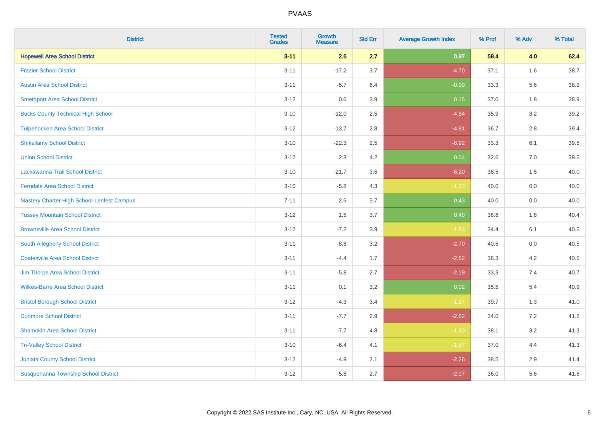| <b>District</b>                            | <b>Tested</b><br><b>Grades</b> | <b>Growth</b><br><b>Measure</b> | <b>Std Err</b> | <b>Average Growth Index</b> | % Prof | % Adv | % Total |
|--------------------------------------------|--------------------------------|---------------------------------|----------------|-----------------------------|--------|-------|---------|
| <b>Hopewell Area School District</b>       | $3 - 11$                       | 2.6                             | 2.7            | 0.97                        | 58.4   | 4.0   | 62.4    |
| <b>Frazier School District</b>             | $3 - 11$                       | $-17.2$                         | 3.7            | $-4.70$                     | 37.1   | 1.6   | 38.7    |
| <b>Austin Area School District</b>         | $3 - 11$                       | $-5.7$                          | 6.4            | $-0.90$                     | 33.3   | 5.6   | 38.9    |
| <b>Smethport Area School District</b>      | $3 - 12$                       | 0.6                             | 3.9            | 0.15                        | 37.0   | 1.8   | 38.9    |
| <b>Bucks County Technical High School</b>  | $9 - 10$                       | $-12.0$                         | 2.5            | $-4.84$                     | 35.9   | 3.2   | 39.2    |
| <b>Tulpehocken Area School District</b>    | $3 - 12$                       | $-13.7$                         | 2.8            | $-4.81$                     | 36.7   | 2.8   | 39.4    |
| <b>Shikellamy School District</b>          | $3 - 10$                       | $-22.3$                         | 2.5            | $-8.92$                     | 33.3   | 6.1   | 39.5    |
| <b>Union School District</b>               | $3 - 12$                       | 2.3                             | 4.2            | 0.54                        | 32.6   | 7.0   | 39.5    |
| Lackawanna Trail School District           | $3 - 10$                       | $-21.7$                         | 3.5            | $-6.20$                     | 38.5   | 1.5   | 40.0    |
| <b>Ferndale Area School District</b>       | $3 - 10$                       | $-5.8$                          | 4.3            | $-1.33$                     | 40.0   | 0.0   | 40.0    |
| Mastery Charter High School-Lenfest Campus | $7 - 11$                       | 2.5                             | 5.7            | 0.43                        | 40.0   | 0.0   | 40.0    |
| <b>Tussey Mountain School District</b>     | $3 - 12$                       | 1.5                             | 3.7            | 0.40                        | 38.6   | 1.8   | 40.4    |
| <b>Brownsville Area School District</b>    | $3 - 12$                       | $-7.2$                          | 3.9            | $-1.83$                     | 34.4   | 6.1   | 40.5    |
| South Allegheny School District            | $3 - 11$                       | $-8.8$                          | 3.2            | $-2.70$                     | 40.5   | 0.0   | 40.5    |
| <b>Coatesville Area School District</b>    | $3 - 11$                       | $-4.4$                          | 1.7            | $-2.62$                     | 36.3   | 4.2   | 40.5    |
| Jim Thorpe Area School District            | $3 - 11$                       | $-5.8$                          | 2.7            | $-2.19$                     | 33.3   | 7.4   | 40.7    |
| <b>Wilkes-Barre Area School District</b>   | $3 - 11$                       | 0.1                             | 3.2            | 0.02                        | 35.5   | 5.4   | 40.9    |
| <b>Bristol Borough School District</b>     | $3 - 12$                       | $-4.3$                          | 3.4            | $-1.27$                     | 39.7   | 1.3   | 41.0    |
| <b>Dunmore School District</b>             | $3 - 11$                       | $-7.7$                          | 2.9            | $-2.62$                     | 34.0   | 7.2   | 41.2    |
| <b>Shamokin Area School District</b>       | $3 - 11$                       | $-7.7$                          | 4.8            | $-1.60$                     | 38.1   | 3.2   | 41.3    |
| <b>Tri-Valley School District</b>          | $3 - 10$                       | $-6.4$                          | 4.1            | $-1.57$                     | 37.0   | 4.4   | 41.3    |
| <b>Juniata County School District</b>      | $3 - 12$                       | $-4.9$                          | 2.1            | $-2.26$                     | 38.5   | 2.9   | 41.4    |
| Susquehanna Township School District       | $3 - 12$                       | $-5.8$                          | 2.7            | $-2.17$                     | 36.0   | 5.6   | 41.6    |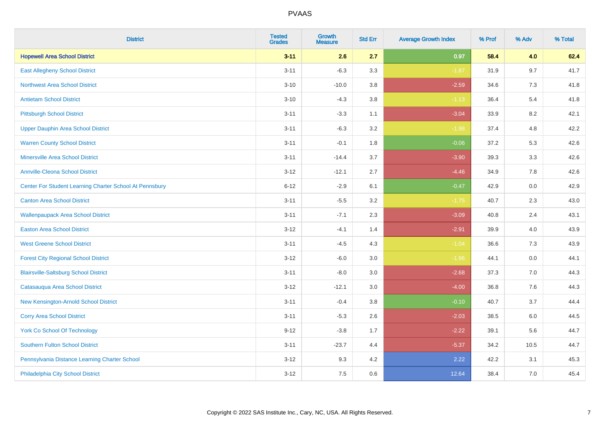| <b>District</b>                                         | <b>Tested</b><br><b>Grades</b> | Growth<br><b>Measure</b> | <b>Std Err</b> | <b>Average Growth Index</b> | % Prof | % Adv | % Total |
|---------------------------------------------------------|--------------------------------|--------------------------|----------------|-----------------------------|--------|-------|---------|
| <b>Hopewell Area School District</b>                    | $3 - 11$                       | 2.6                      | 2.7            | 0.97                        | 58.4   | 4.0   | 62.4    |
| <b>East Allegheny School District</b>                   | $3 - 11$                       | $-6.3$                   | 3.3            | $-1.87$                     | 31.9   | 9.7   | 41.7    |
| <b>Northwest Area School District</b>                   | $3 - 10$                       | $-10.0$                  | 3.8            | $-2.59$                     | 34.6   | 7.3   | 41.8    |
| <b>Antietam School District</b>                         | $3 - 10$                       | $-4.3$                   | 3.8            | $-1.13$                     | 36.4   | 5.4   | 41.8    |
| <b>Pittsburgh School District</b>                       | $3 - 11$                       | $-3.3$                   | 1.1            | $-3.04$                     | 33.9   | 8.2   | 42.1    |
| <b>Upper Dauphin Area School District</b>               | $3 - 11$                       | $-6.3$                   | 3.2            | $-1.98$                     | 37.4   | 4.8   | 42.2    |
| <b>Warren County School District</b>                    | $3 - 11$                       | $-0.1$                   | 1.8            | $-0.06$                     | 37.2   | 5.3   | 42.6    |
| <b>Minersville Area School District</b>                 | $3 - 11$                       | $-14.4$                  | 3.7            | $-3.90$                     | 39.3   | 3.3   | 42.6    |
| <b>Annville-Cleona School District</b>                  | $3 - 12$                       | $-12.1$                  | 2.7            | $-4.46$                     | 34.9   | 7.8   | 42.6    |
| Center For Student Learning Charter School At Pennsbury | $6 - 12$                       | $-2.9$                   | 6.1            | $-0.47$                     | 42.9   | 0.0   | 42.9    |
| <b>Canton Area School District</b>                      | $3 - 11$                       | $-5.5$                   | 3.2            | $-1.75$                     | 40.7   | 2.3   | 43.0    |
| <b>Wallenpaupack Area School District</b>               | $3 - 11$                       | $-7.1$                   | 2.3            | $-3.09$                     | 40.8   | 2.4   | 43.1    |
| <b>Easton Area School District</b>                      | $3 - 12$                       | $-4.1$                   | 1.4            | $-2.91$                     | 39.9   | 4.0   | 43.9    |
| <b>West Greene School District</b>                      | $3 - 11$                       | $-4.5$                   | 4.3            | $-1.04$                     | 36.6   | 7.3   | 43.9    |
| <b>Forest City Regional School District</b>             | $3 - 12$                       | $-6.0$                   | 3.0            | $-1.96$                     | 44.1   | 0.0   | 44.1    |
| <b>Blairsville-Saltsburg School District</b>            | $3 - 11$                       | $-8.0$                   | 3.0            | $-2.68$                     | 37.3   | 7.0   | 44.3    |
| Catasauqua Area School District                         | $3 - 12$                       | $-12.1$                  | 3.0            | $-4.00$                     | 36.8   | 7.6   | 44.3    |
| New Kensington-Arnold School District                   | $3 - 11$                       | $-0.4$                   | 3.8            | $-0.10$                     | 40.7   | 3.7   | 44.4    |
| <b>Corry Area School District</b>                       | $3 - 11$                       | $-5.3$                   | 2.6            | $-2.03$                     | 38.5   | 6.0   | 44.5    |
| <b>York Co School Of Technology</b>                     | $9 - 12$                       | $-3.8$                   | 1.7            | $-2.22$                     | 39.1   | 5.6   | 44.7    |
| Southern Fulton School District                         | $3 - 11$                       | $-23.7$                  | 4.4            | $-5.37$                     | 34.2   | 10.5  | 44.7    |
| Pennsylvania Distance Learning Charter School           | $3 - 12$                       | 9.3                      | 4.2            | 2.22                        | 42.2   | 3.1   | 45.3    |
| Philadelphia City School District                       | $3 - 12$                       | 7.5                      | 0.6            | 12.64                       | 38.4   | 7.0   | 45.4    |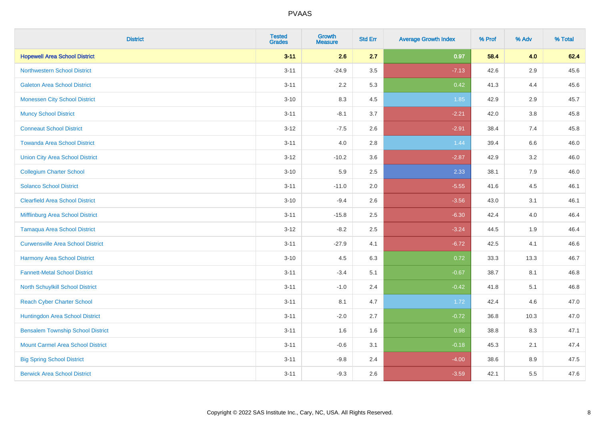| <b>District</b>                          | <b>Tested</b><br><b>Grades</b> | Growth<br><b>Measure</b> | <b>Std Err</b> | <b>Average Growth Index</b> | % Prof | % Adv | % Total |
|------------------------------------------|--------------------------------|--------------------------|----------------|-----------------------------|--------|-------|---------|
| <b>Hopewell Area School District</b>     | $3 - 11$                       | 2.6                      | 2.7            | 0.97                        | 58.4   | 4.0   | 62.4    |
| <b>Northwestern School District</b>      | $3 - 11$                       | $-24.9$                  | 3.5            | $-7.13$                     | 42.6   | 2.9   | 45.6    |
| <b>Galeton Area School District</b>      | $3 - 11$                       | 2.2                      | 5.3            | 0.42                        | 41.3   | 4.4   | 45.6    |
| <b>Monessen City School District</b>     | $3 - 10$                       | 8.3                      | 4.5            | 1.85                        | 42.9   | 2.9   | 45.7    |
| <b>Muncy School District</b>             | $3 - 11$                       | $-8.1$                   | 3.7            | $-2.21$                     | 42.0   | 3.8   | 45.8    |
| <b>Conneaut School District</b>          | $3 - 12$                       | $-7.5$                   | 2.6            | $-2.91$                     | 38.4   | 7.4   | 45.8    |
| <b>Towanda Area School District</b>      | $3 - 11$                       | 4.0                      | 2.8            | 1.44                        | 39.4   | 6.6   | 46.0    |
| <b>Union City Area School District</b>   | $3-12$                         | $-10.2$                  | 3.6            | $-2.87$                     | 42.9   | 3.2   | 46.0    |
| <b>Collegium Charter School</b>          | $3 - 10$                       | 5.9                      | 2.5            | 2.33                        | 38.1   | 7.9   | 46.0    |
| <b>Solanco School District</b>           | $3 - 11$                       | $-11.0$                  | 2.0            | $-5.55$                     | 41.6   | 4.5   | 46.1    |
| <b>Clearfield Area School District</b>   | $3 - 10$                       | $-9.4$                   | 2.6            | $-3.56$                     | 43.0   | 3.1   | 46.1    |
| Mifflinburg Area School District         | $3 - 11$                       | $-15.8$                  | 2.5            | $-6.30$                     | 42.4   | 4.0   | 46.4    |
| <b>Tamaqua Area School District</b>      | $3 - 12$                       | $-8.2$                   | 2.5            | $-3.24$                     | 44.5   | 1.9   | 46.4    |
| <b>Curwensville Area School District</b> | $3 - 11$                       | $-27.9$                  | 4.1            | $-6.72$                     | 42.5   | 4.1   | 46.6    |
| Harmony Area School District             | $3 - 10$                       | 4.5                      | 6.3            | 0.72                        | 33.3   | 13.3  | 46.7    |
| <b>Fannett-Metal School District</b>     | $3 - 11$                       | $-3.4$                   | 5.1            | $-0.67$                     | 38.7   | 8.1   | 46.8    |
| North Schuylkill School District         | $3 - 11$                       | $-1.0$                   | 2.4            | $-0.42$                     | 41.8   | 5.1   | 46.8    |
| <b>Reach Cyber Charter School</b>        | $3 - 11$                       | 8.1                      | 4.7            | 1.72                        | 42.4   | 4.6   | 47.0    |
| Huntingdon Area School District          | $3 - 11$                       | $-2.0$                   | 2.7            | $-0.72$                     | 36.8   | 10.3  | 47.0    |
| <b>Bensalem Township School District</b> | $3 - 11$                       | 1.6                      | 1.6            | 0.98                        | 38.8   | 8.3   | 47.1    |
| <b>Mount Carmel Area School District</b> | $3 - 11$                       | $-0.6$                   | 3.1            | $-0.18$                     | 45.3   | 2.1   | 47.4    |
| <b>Big Spring School District</b>        | $3 - 11$                       | $-9.8$                   | 2.4            | $-4.00$                     | 38.6   | 8.9   | 47.5    |
| <b>Berwick Area School District</b>      | $3 - 11$                       | $-9.3$                   | 2.6            | $-3.59$                     | 42.1   | 5.5   | 47.6    |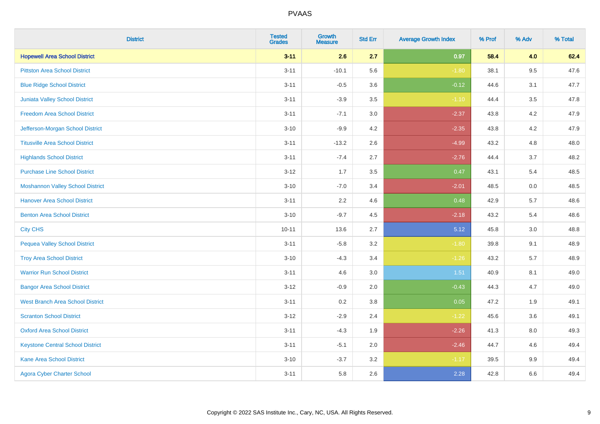| <b>District</b>                         | <b>Tested</b><br><b>Grades</b> | <b>Growth</b><br><b>Measure</b> | <b>Std Err</b> | <b>Average Growth Index</b> | % Prof | % Adv   | % Total |
|-----------------------------------------|--------------------------------|---------------------------------|----------------|-----------------------------|--------|---------|---------|
| <b>Hopewell Area School District</b>    | $3 - 11$                       | 2.6                             | 2.7            | 0.97                        | 58.4   | 4.0     | 62.4    |
| <b>Pittston Area School District</b>    | $3 - 11$                       | $-10.1$                         | 5.6            | $-1.80$                     | 38.1   | $9.5\,$ | 47.6    |
| <b>Blue Ridge School District</b>       | $3 - 11$                       | $-0.5$                          | 3.6            | $-0.12$                     | 44.6   | 3.1     | 47.7    |
| Juniata Valley School District          | $3 - 11$                       | $-3.9$                          | 3.5            | $-1.10$                     | 44.4   | 3.5     | 47.8    |
| <b>Freedom Area School District</b>     | $3 - 11$                       | $-7.1$                          | 3.0            | $-2.37$                     | 43.8   | 4.2     | 47.9    |
| Jefferson-Morgan School District        | $3 - 10$                       | $-9.9$                          | 4.2            | $-2.35$                     | 43.8   | 4.2     | 47.9    |
| <b>Titusville Area School District</b>  | $3 - 11$                       | $-13.2$                         | 2.6            | $-4.99$                     | 43.2   | 4.8     | 48.0    |
| <b>Highlands School District</b>        | $3 - 11$                       | $-7.4$                          | 2.7            | $-2.76$                     | 44.4   | 3.7     | 48.2    |
| <b>Purchase Line School District</b>    | $3-12$                         | 1.7                             | 3.5            | 0.47                        | 43.1   | 5.4     | 48.5    |
| <b>Moshannon Valley School District</b> | $3 - 10$                       | $-7.0$                          | 3.4            | $-2.01$                     | 48.5   | 0.0     | 48.5    |
| <b>Hanover Area School District</b>     | $3 - 11$                       | 2.2                             | 4.6            | 0.48                        | 42.9   | 5.7     | 48.6    |
| <b>Benton Area School District</b>      | $3 - 10$                       | $-9.7$                          | 4.5            | $-2.18$                     | 43.2   | 5.4     | 48.6    |
| <b>City CHS</b>                         | $10 - 11$                      | 13.6                            | 2.7            | 5.12                        | 45.8   | $3.0\,$ | 48.8    |
| <b>Pequea Valley School District</b>    | $3 - 11$                       | $-5.8$                          | 3.2            | $-1.80$                     | 39.8   | 9.1     | 48.9    |
| <b>Troy Area School District</b>        | $3 - 10$                       | $-4.3$                          | 3.4            | $-1.26$                     | 43.2   | 5.7     | 48.9    |
| <b>Warrior Run School District</b>      | $3 - 11$                       | 4.6                             | $3.0\,$        | 1.51                        | 40.9   | 8.1     | 49.0    |
| <b>Bangor Area School District</b>      | $3 - 12$                       | $-0.9$                          | 2.0            | $-0.43$                     | 44.3   | 4.7     | 49.0    |
| <b>West Branch Area School District</b> | $3 - 11$                       | 0.2                             | 3.8            | 0.05                        | 47.2   | 1.9     | 49.1    |
| <b>Scranton School District</b>         | $3 - 12$                       | $-2.9$                          | 2.4            | $-1.22$                     | 45.6   | 3.6     | 49.1    |
| <b>Oxford Area School District</b>      | $3 - 11$                       | $-4.3$                          | 1.9            | $-2.26$                     | 41.3   | 8.0     | 49.3    |
| <b>Keystone Central School District</b> | $3 - 11$                       | $-5.1$                          | 2.0            | $-2.46$                     | 44.7   | 4.6     | 49.4    |
| <b>Kane Area School District</b>        | $3 - 10$                       | $-3.7$                          | 3.2            | $-1.17$                     | 39.5   | 9.9     | 49.4    |
| <b>Agora Cyber Charter School</b>       | $3 - 11$                       | 5.8                             | 2.6            | 2.28                        | 42.8   | 6.6     | 49.4    |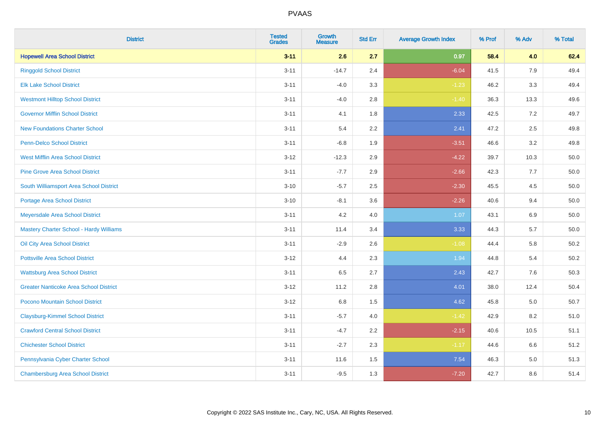| <b>District</b>                                | <b>Tested</b><br><b>Grades</b> | <b>Growth</b><br><b>Measure</b> | <b>Std Err</b> | <b>Average Growth Index</b> | % Prof | % Adv | % Total  |
|------------------------------------------------|--------------------------------|---------------------------------|----------------|-----------------------------|--------|-------|----------|
| <b>Hopewell Area School District</b>           | $3 - 11$                       | 2.6                             | 2.7            | 0.97                        | 58.4   | 4.0   | 62.4     |
| <b>Ringgold School District</b>                | $3 - 11$                       | $-14.7$                         | 2.4            | $-6.04$                     | 41.5   | 7.9   | 49.4     |
| <b>Elk Lake School District</b>                | $3 - 11$                       | $-4.0$                          | 3.3            | $-1.23$                     | 46.2   | 3.3   | 49.4     |
| <b>Westmont Hilltop School District</b>        | $3 - 11$                       | $-4.0$                          | 2.8            | $-1.40$                     | 36.3   | 13.3  | 49.6     |
| <b>Governor Mifflin School District</b>        | $3 - 11$                       | 4.1                             | 1.8            | 2.33                        | 42.5   | 7.2   | 49.7     |
| <b>New Foundations Charter School</b>          | $3 - 11$                       | 5.4                             | 2.2            | 2.41                        | 47.2   | 2.5   | 49.8     |
| Penn-Delco School District                     | $3 - 11$                       | $-6.8$                          | 1.9            | $-3.51$                     | 46.6   | 3.2   | 49.8     |
| <b>West Mifflin Area School District</b>       | $3 - 12$                       | $-12.3$                         | 2.9            | $-4.22$                     | 39.7   | 10.3  | 50.0     |
| <b>Pine Grove Area School District</b>         | $3 - 11$                       | $-7.7$                          | 2.9            | $-2.66$                     | 42.3   | 7.7   | 50.0     |
| South Williamsport Area School District        | $3 - 10$                       | $-5.7$                          | 2.5            | $-2.30$                     | 45.5   | 4.5   | $50.0\,$ |
| <b>Portage Area School District</b>            | $3 - 10$                       | $-8.1$                          | 3.6            | $-2.26$                     | 40.6   | 9.4   | 50.0     |
| Meyersdale Area School District                | $3 - 11$                       | 4.2                             | 4.0            | 1.07                        | 43.1   | 6.9   | 50.0     |
| <b>Mastery Charter School - Hardy Williams</b> | $3 - 11$                       | 11.4                            | 3.4            | 3.33                        | 44.3   | 5.7   | 50.0     |
| Oil City Area School District                  | $3 - 11$                       | $-2.9$                          | 2.6            | $-1.08$                     | 44.4   | 5.8   | 50.2     |
| <b>Pottsville Area School District</b>         | $3 - 12$                       | 4.4                             | 2.3            | 1.94                        | 44.8   | 5.4   | $50.2\,$ |
| <b>Wattsburg Area School District</b>          | $3 - 11$                       | 6.5                             | 2.7            | 2.43                        | 42.7   | 7.6   | 50.3     |
| <b>Greater Nanticoke Area School District</b>  | $3 - 12$                       | 11.2                            | 2.8            | 4.01                        | 38.0   | 12.4  | 50.4     |
| Pocono Mountain School District                | $3 - 12$                       | $6.8\,$                         | 1.5            | 4.62                        | 45.8   | 5.0   | 50.7     |
| <b>Claysburg-Kimmel School District</b>        | $3 - 11$                       | $-5.7$                          | 4.0            | $-1.42$                     | 42.9   | 8.2   | 51.0     |
| <b>Crawford Central School District</b>        | $3 - 11$                       | $-4.7$                          | 2.2            | $-2.15$                     | 40.6   | 10.5  | 51.1     |
| <b>Chichester School District</b>              | $3 - 11$                       | $-2.7$                          | 2.3            | $-1.17$                     | 44.6   | 6.6   | 51.2     |
| Pennsylvania Cyber Charter School              | $3 - 11$                       | 11.6                            | 1.5            | 7.54                        | 46.3   | 5.0   | 51.3     |
| <b>Chambersburg Area School District</b>       | $3 - 11$                       | $-9.5$                          | 1.3            | $-7.20$                     | 42.7   | 8.6   | 51.4     |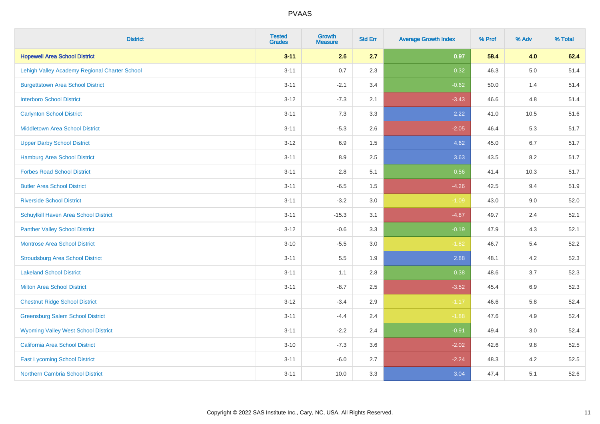| <b>District</b>                               | <b>Tested</b><br><b>Grades</b> | <b>Growth</b><br><b>Measure</b> | <b>Std Err</b> | <b>Average Growth Index</b> | % Prof | % Adv   | % Total |
|-----------------------------------------------|--------------------------------|---------------------------------|----------------|-----------------------------|--------|---------|---------|
| <b>Hopewell Area School District</b>          | $3 - 11$                       | 2.6                             | 2.7            | 0.97                        | 58.4   | 4.0     | 62.4    |
| Lehigh Valley Academy Regional Charter School | $3 - 11$                       | 0.7                             | 2.3            | 0.32                        | 46.3   | $5.0\,$ | 51.4    |
| <b>Burgettstown Area School District</b>      | $3 - 11$                       | $-2.1$                          | 3.4            | $-0.62$                     | 50.0   | 1.4     | 51.4    |
| <b>Interboro School District</b>              | $3 - 12$                       | $-7.3$                          | 2.1            | $-3.43$                     | 46.6   | 4.8     | 51.4    |
| <b>Carlynton School District</b>              | $3 - 11$                       | 7.3                             | 3.3            | 2.22                        | 41.0   | 10.5    | 51.6    |
| <b>Middletown Area School District</b>        | $3 - 11$                       | $-5.3$                          | 2.6            | $-2.05$                     | 46.4   | 5.3     | 51.7    |
| <b>Upper Darby School District</b>            | $3 - 12$                       | 6.9                             | 1.5            | 4.62                        | 45.0   | 6.7     | 51.7    |
| <b>Hamburg Area School District</b>           | $3 - 11$                       | 8.9                             | 2.5            | 3.63                        | 43.5   | 8.2     | 51.7    |
| <b>Forbes Road School District</b>            | $3 - 11$                       | 2.8                             | 5.1            | 0.56                        | 41.4   | 10.3    | 51.7    |
| <b>Butler Area School District</b>            | $3 - 11$                       | $-6.5$                          | 1.5            | $-4.26$                     | 42.5   | 9.4     | 51.9    |
| <b>Riverside School District</b>              | $3 - 11$                       | $-3.2$                          | 3.0            | $-1.09$                     | 43.0   | 9.0     | 52.0    |
| Schuylkill Haven Area School District         | $3 - 11$                       | $-15.3$                         | 3.1            | $-4.87$                     | 49.7   | 2.4     | 52.1    |
| <b>Panther Valley School District</b>         | $3 - 12$                       | $-0.6$                          | 3.3            | $-0.19$                     | 47.9   | 4.3     | 52.1    |
| <b>Montrose Area School District</b>          | $3 - 10$                       | $-5.5$                          | 3.0            | $-1.82$                     | 46.7   | 5.4     | 52.2    |
| <b>Stroudsburg Area School District</b>       | $3 - 11$                       | 5.5                             | 1.9            | 2.88                        | 48.1   | 4.2     | 52.3    |
| <b>Lakeland School District</b>               | $3 - 11$                       | 1.1                             | 2.8            | 0.38                        | 48.6   | 3.7     | 52.3    |
| <b>Milton Area School District</b>            | $3 - 11$                       | $-8.7$                          | 2.5            | $-3.52$                     | 45.4   | 6.9     | 52.3    |
| <b>Chestnut Ridge School District</b>         | $3 - 12$                       | $-3.4$                          | 2.9            | $-1.17$                     | 46.6   | 5.8     | 52.4    |
| <b>Greensburg Salem School District</b>       | $3 - 11$                       | $-4.4$                          | 2.4            | $-1.88$                     | 47.6   | 4.9     | 52.4    |
| <b>Wyoming Valley West School District</b>    | $3 - 11$                       | $-2.2$                          | 2.4            | $-0.91$                     | 49.4   | 3.0     | 52.4    |
| <b>California Area School District</b>        | $3 - 10$                       | $-7.3$                          | 3.6            | $-2.02$                     | 42.6   | 9.8     | 52.5    |
| <b>East Lycoming School District</b>          | $3 - 11$                       | $-6.0$                          | 2.7            | $-2.24$                     | 48.3   | 4.2     | 52.5    |
| <b>Northern Cambria School District</b>       | $3 - 11$                       | 10.0                            | 3.3            | 3.04                        | 47.4   | 5.1     | 52.6    |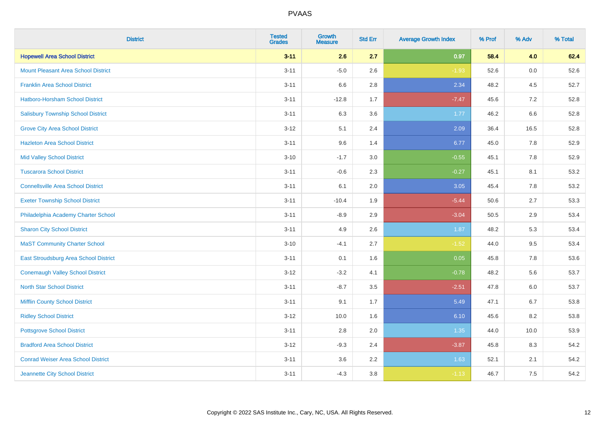| <b>District</b>                            | <b>Tested</b><br><b>Grades</b> | <b>Growth</b><br><b>Measure</b> | <b>Std Err</b> | <b>Average Growth Index</b> | % Prof | % Adv | % Total |
|--------------------------------------------|--------------------------------|---------------------------------|----------------|-----------------------------|--------|-------|---------|
| <b>Hopewell Area School District</b>       | $3 - 11$                       | 2.6                             | 2.7            | 0.97                        | 58.4   | 4.0   | 62.4    |
| <b>Mount Pleasant Area School District</b> | $3 - 11$                       | $-5.0$                          | 2.6            | $-1.93$                     | 52.6   | 0.0   | 52.6    |
| <b>Franklin Area School District</b>       | $3 - 11$                       | 6.6                             | 2.8            | 2.34                        | 48.2   | 4.5   | 52.7    |
| Hatboro-Horsham School District            | $3 - 11$                       | $-12.8$                         | 1.7            | $-7.47$                     | 45.6   | 7.2   | 52.8    |
| <b>Salisbury Township School District</b>  | $3 - 11$                       | 6.3                             | 3.6            | 1.77                        | 46.2   | 6.6   | 52.8    |
| <b>Grove City Area School District</b>     | $3 - 12$                       | 5.1                             | 2.4            | 2.09                        | 36.4   | 16.5  | 52.8    |
| <b>Hazleton Area School District</b>       | $3 - 11$                       | 9.6                             | 1.4            | 6.77                        | 45.0   | 7.8   | 52.9    |
| <b>Mid Valley School District</b>          | $3 - 10$                       | $-1.7$                          | 3.0            | $-0.55$                     | 45.1   | 7.8   | 52.9    |
| <b>Tuscarora School District</b>           | $3 - 11$                       | $-0.6$                          | 2.3            | $-0.27$                     | 45.1   | 8.1   | 53.2    |
| <b>Connellsville Area School District</b>  | $3 - 11$                       | 6.1                             | 2.0            | 3.05                        | 45.4   | 7.8   | 53.2    |
| <b>Exeter Township School District</b>     | $3 - 11$                       | $-10.4$                         | 1.9            | $-5.44$                     | 50.6   | 2.7   | 53.3    |
| Philadelphia Academy Charter School        | $3 - 11$                       | $-8.9$                          | 2.9            | $-3.04$                     | 50.5   | 2.9   | 53.4    |
| <b>Sharon City School District</b>         | $3 - 11$                       | 4.9                             | 2.6            | 1.87                        | 48.2   | 5.3   | 53.4    |
| <b>MaST Community Charter School</b>       | $3 - 10$                       | $-4.1$                          | 2.7            | $-1.52$                     | 44.0   | 9.5   | 53.4    |
| East Stroudsburg Area School District      | $3 - 11$                       | 0.1                             | 1.6            | 0.05                        | 45.8   | 7.8   | 53.6    |
| <b>Conemaugh Valley School District</b>    | $3 - 12$                       | $-3.2$                          | 4.1            | $-0.78$                     | 48.2   | 5.6   | 53.7    |
| <b>North Star School District</b>          | $3 - 11$                       | $-8.7$                          | 3.5            | $-2.51$                     | 47.8   | 6.0   | 53.7    |
| <b>Mifflin County School District</b>      | $3 - 11$                       | 9.1                             | 1.7            | 5.49                        | 47.1   | 6.7   | 53.8    |
| <b>Ridley School District</b>              | $3 - 12$                       | 10.0                            | 1.6            | 6.10                        | 45.6   | 8.2   | 53.8    |
| <b>Pottsgrove School District</b>          | $3 - 11$                       | 2.8                             | 2.0            | 1.35                        | 44.0   | 10.0  | 53.9    |
| <b>Bradford Area School District</b>       | $3 - 12$                       | $-9.3$                          | 2.4            | $-3.87$                     | 45.8   | 8.3   | 54.2    |
| <b>Conrad Weiser Area School District</b>  | $3 - 11$                       | 3.6                             | 2.2            | 1.63                        | 52.1   | 2.1   | 54.2    |
| Jeannette City School District             | $3 - 11$                       | $-4.3$                          | 3.8            | $-1.13$                     | 46.7   | 7.5   | 54.2    |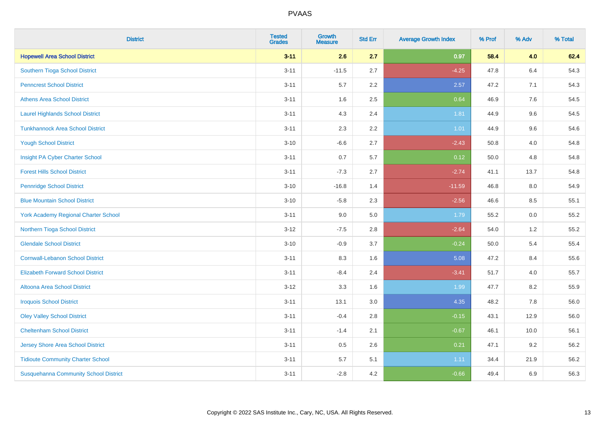| <b>District</b>                              | <b>Tested</b><br><b>Grades</b> | <b>Growth</b><br><b>Measure</b> | <b>Std Err</b> | <b>Average Growth Index</b> | % Prof | % Adv   | % Total |
|----------------------------------------------|--------------------------------|---------------------------------|----------------|-----------------------------|--------|---------|---------|
| <b>Hopewell Area School District</b>         | $3 - 11$                       | 2.6                             | 2.7            | 0.97                        | 58.4   | 4.0     | 62.4    |
| <b>Southern Tioga School District</b>        | $3 - 11$                       | $-11.5$                         | 2.7            | $-4.25$                     | 47.8   | $6.4\,$ | 54.3    |
| <b>Penncrest School District</b>             | $3 - 11$                       | 5.7                             | 2.2            | 2.57                        | 47.2   | 7.1     | 54.3    |
| <b>Athens Area School District</b>           | $3 - 11$                       | 1.6                             | 2.5            | 0.64                        | 46.9   | 7.6     | 54.5    |
| <b>Laurel Highlands School District</b>      | $3 - 11$                       | 4.3                             | 2.4            | 1.81                        | 44.9   | 9.6     | 54.5    |
| <b>Tunkhannock Area School District</b>      | $3 - 11$                       | 2.3                             | 2.2            | $1.01$                      | 44.9   | 9.6     | 54.6    |
| <b>Yough School District</b>                 | $3 - 10$                       | $-6.6$                          | 2.7            | $-2.43$                     | 50.8   | 4.0     | 54.8    |
| Insight PA Cyber Charter School              | $3 - 11$                       | 0.7                             | 5.7            | 0.12                        | 50.0   | 4.8     | 54.8    |
| <b>Forest Hills School District</b>          | $3 - 11$                       | $-7.3$                          | 2.7            | $-2.74$                     | 41.1   | 13.7    | 54.8    |
| <b>Pennridge School District</b>             | $3 - 10$                       | $-16.8$                         | 1.4            | $-11.59$                    | 46.8   | 8.0     | 54.9    |
| <b>Blue Mountain School District</b>         | $3 - 10$                       | $-5.8$                          | 2.3            | $-2.56$                     | 46.6   | 8.5     | 55.1    |
| <b>York Academy Regional Charter School</b>  | $3 - 11$                       | 9.0                             | 5.0            | 1.79                        | 55.2   | 0.0     | 55.2    |
| Northern Tioga School District               | $3 - 12$                       | $-7.5$                          | 2.8            | $-2.64$                     | 54.0   | 1.2     | 55.2    |
| <b>Glendale School District</b>              | $3 - 10$                       | $-0.9$                          | 3.7            | $-0.24$                     | 50.0   | 5.4     | 55.4    |
| <b>Cornwall-Lebanon School District</b>      | $3 - 11$                       | 8.3                             | 1.6            | 5.08                        | 47.2   | 8.4     | 55.6    |
| <b>Elizabeth Forward School District</b>     | $3 - 11$                       | $-8.4$                          | 2.4            | $-3.41$                     | 51.7   | 4.0     | 55.7    |
| <b>Altoona Area School District</b>          | $3-12$                         | 3.3                             | 1.6            | 1.99                        | 47.7   | 8.2     | 55.9    |
| <b>Iroquois School District</b>              | $3 - 11$                       | 13.1                            | 3.0            | 4.35                        | 48.2   | 7.8     | 56.0    |
| <b>Oley Valley School District</b>           | $3 - 11$                       | $-0.4$                          | 2.8            | $-0.15$                     | 43.1   | 12.9    | 56.0    |
| <b>Cheltenham School District</b>            | $3 - 11$                       | $-1.4$                          | 2.1            | $-0.67$                     | 46.1   | 10.0    | 56.1    |
| <b>Jersey Shore Area School District</b>     | $3 - 11$                       | 0.5                             | 2.6            | 0.21                        | 47.1   | 9.2     | 56.2    |
| <b>Tidioute Community Charter School</b>     | $3 - 11$                       | 5.7                             | 5.1            | 1.11                        | 34.4   | 21.9    | 56.2    |
| <b>Susquehanna Community School District</b> | $3 - 11$                       | $-2.8$                          | 4.2            | $-0.66$                     | 49.4   | 6.9     | 56.3    |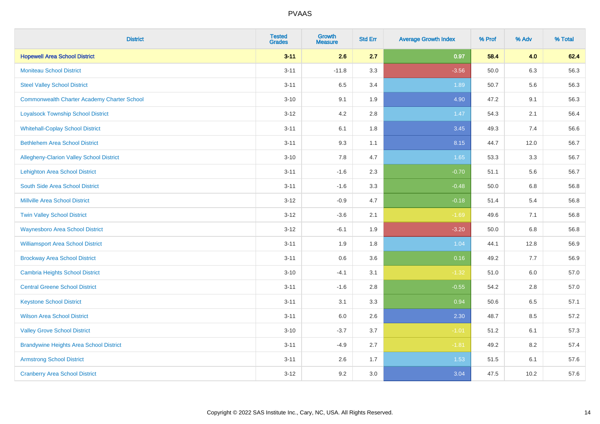| <b>District</b>                                    | <b>Tested</b><br><b>Grades</b> | <b>Growth</b><br><b>Measure</b> | <b>Std Err</b> | <b>Average Growth Index</b> | % Prof | % Adv   | % Total |
|----------------------------------------------------|--------------------------------|---------------------------------|----------------|-----------------------------|--------|---------|---------|
| <b>Hopewell Area School District</b>               | $3 - 11$                       | 2.6                             | 2.7            | 0.97                        | 58.4   | 4.0     | 62.4    |
| <b>Moniteau School District</b>                    | $3 - 11$                       | $-11.8$                         | 3.3            | $-3.56$                     | 50.0   | 6.3     | 56.3    |
| <b>Steel Valley School District</b>                | $3 - 11$                       | 6.5                             | 3.4            | 1.89                        | 50.7   | 5.6     | 56.3    |
| <b>Commonwealth Charter Academy Charter School</b> | $3 - 10$                       | 9.1                             | 1.9            | 4.90                        | 47.2   | 9.1     | 56.3    |
| <b>Loyalsock Township School District</b>          | $3-12$                         | 4.2                             | 2.8            | 1.47                        | 54.3   | 2.1     | 56.4    |
| <b>Whitehall-Coplay School District</b>            | $3 - 11$                       | 6.1                             | 1.8            | 3.45                        | 49.3   | 7.4     | 56.6    |
| <b>Bethlehem Area School District</b>              | $3 - 11$                       | 9.3                             | 1.1            | 8.15                        | 44.7   | 12.0    | 56.7    |
| <b>Allegheny-Clarion Valley School District</b>    | $3 - 10$                       | 7.8                             | 4.7            | 1.65                        | 53.3   | 3.3     | 56.7    |
| <b>Lehighton Area School District</b>              | $3 - 11$                       | $-1.6$                          | 2.3            | $-0.70$                     | 51.1   | 5.6     | 56.7    |
| South Side Area School District                    | $3 - 11$                       | $-1.6$                          | 3.3            | $-0.48$                     | 50.0   | 6.8     | 56.8    |
| <b>Millville Area School District</b>              | $3 - 12$                       | $-0.9$                          | 4.7            | $-0.18$                     | 51.4   | 5.4     | 56.8    |
| <b>Twin Valley School District</b>                 | $3 - 12$                       | $-3.6$                          | 2.1            | $-1.69$                     | 49.6   | 7.1     | 56.8    |
| <b>Waynesboro Area School District</b>             | $3 - 12$                       | $-6.1$                          | 1.9            | $-3.20$                     | 50.0   | $6.8\,$ | 56.8    |
| <b>Williamsport Area School District</b>           | $3 - 11$                       | 1.9                             | 1.8            | 1.04                        | 44.1   | 12.8    | 56.9    |
| <b>Brockway Area School District</b>               | $3 - 11$                       | 0.6                             | 3.6            | 0.16                        | 49.2   | $7.7$   | 56.9    |
| <b>Cambria Heights School District</b>             | $3 - 10$                       | $-4.1$                          | 3.1            | $-1.32$                     | 51.0   | $6.0\,$ | 57.0    |
| <b>Central Greene School District</b>              | $3 - 11$                       | $-1.6$                          | 2.8            | $-0.55$                     | 54.2   | 2.8     | 57.0    |
| <b>Keystone School District</b>                    | $3 - 11$                       | 3.1                             | 3.3            | 0.94                        | 50.6   | 6.5     | 57.1    |
| <b>Wilson Area School District</b>                 | $3 - 11$                       | 6.0                             | 2.6            | 2.30                        | 48.7   | 8.5     | 57.2    |
| <b>Valley Grove School District</b>                | $3 - 10$                       | $-3.7$                          | 3.7            | $-1.01$                     | 51.2   | 6.1     | 57.3    |
| <b>Brandywine Heights Area School District</b>     | $3 - 11$                       | $-4.9$                          | 2.7            | $-1.81$                     | 49.2   | 8.2     | 57.4    |
| <b>Armstrong School District</b>                   | $3 - 11$                       | 2.6                             | 1.7            | 1.53                        | 51.5   | 6.1     | 57.6    |
| <b>Cranberry Area School District</b>              | $3 - 12$                       | 9.2                             | 3.0            | 3.04                        | 47.5   | 10.2    | 57.6    |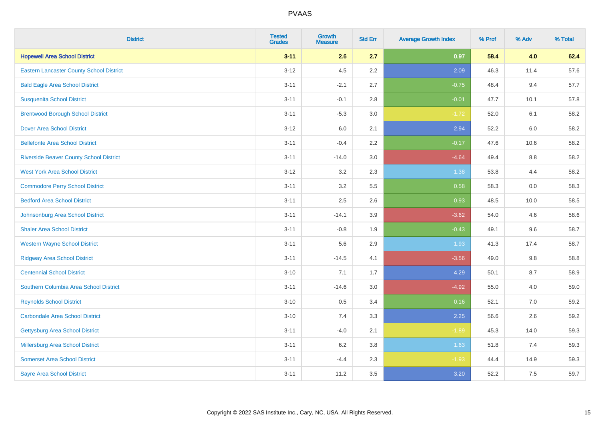| <b>District</b>                                 | <b>Tested</b><br><b>Grades</b> | <b>Growth</b><br><b>Measure</b> | <b>Std Err</b> | <b>Average Growth Index</b> | % Prof | % Adv | % Total |
|-------------------------------------------------|--------------------------------|---------------------------------|----------------|-----------------------------|--------|-------|---------|
| <b>Hopewell Area School District</b>            | $3 - 11$                       | 2.6                             | 2.7            | 0.97                        | 58.4   | 4.0   | 62.4    |
| <b>Eastern Lancaster County School District</b> | $3 - 12$                       | 4.5                             | 2.2            | 2.09                        | 46.3   | 11.4  | 57.6    |
| <b>Bald Eagle Area School District</b>          | $3 - 11$                       | $-2.1$                          | 2.7            | $-0.75$                     | 48.4   | 9.4   | 57.7    |
| <b>Susquenita School District</b>               | $3 - 11$                       | $-0.1$                          | 2.8            | $-0.01$                     | 47.7   | 10.1  | 57.8    |
| <b>Brentwood Borough School District</b>        | $3 - 11$                       | $-5.3$                          | 3.0            | $-1.72$                     | 52.0   | 6.1   | 58.2    |
| <b>Dover Area School District</b>               | $3 - 12$                       | $6.0\,$                         | 2.1            | 2.94                        | 52.2   | 6.0   | 58.2    |
| <b>Bellefonte Area School District</b>          | $3 - 11$                       | $-0.4$                          | 2.2            | $-0.17$                     | 47.6   | 10.6  | 58.2    |
| <b>Riverside Beaver County School District</b>  | $3 - 11$                       | $-14.0$                         | 3.0            | $-4.64$                     | 49.4   | 8.8   | 58.2    |
| <b>West York Area School District</b>           | $3 - 12$                       | 3.2                             | 2.3            | 1.38                        | 53.8   | 4.4   | 58.2    |
| <b>Commodore Perry School District</b>          | $3 - 11$                       | 3.2                             | 5.5            | 0.58                        | 58.3   | 0.0   | 58.3    |
| <b>Bedford Area School District</b>             | $3 - 11$                       | 2.5                             | 2.6            | 0.93                        | 48.5   | 10.0  | 58.5    |
| Johnsonburg Area School District                | $3 - 11$                       | $-14.1$                         | 3.9            | $-3.62$                     | 54.0   | 4.6   | 58.6    |
| <b>Shaler Area School District</b>              | $3 - 11$                       | $-0.8$                          | 1.9            | $-0.43$                     | 49.1   | 9.6   | 58.7    |
| <b>Western Wayne School District</b>            | $3 - 11$                       | 5.6                             | 2.9            | 1.93                        | 41.3   | 17.4  | 58.7    |
| <b>Ridgway Area School District</b>             | $3 - 11$                       | $-14.5$                         | 4.1            | $-3.56$                     | 49.0   | 9.8   | 58.8    |
| <b>Centennial School District</b>               | $3 - 10$                       | 7.1                             | 1.7            | 4.29                        | 50.1   | 8.7   | 58.9    |
| Southern Columbia Area School District          | $3 - 11$                       | $-14.6$                         | 3.0            | $-4.92$                     | 55.0   | 4.0   | 59.0    |
| <b>Reynolds School District</b>                 | $3 - 10$                       | 0.5                             | 3.4            | 0.16                        | 52.1   | 7.0   | 59.2    |
| <b>Carbondale Area School District</b>          | $3 - 10$                       | 7.4                             | 3.3            | 2.25                        | 56.6   | 2.6   | 59.2    |
| <b>Gettysburg Area School District</b>          | $3 - 11$                       | $-4.0$                          | 2.1            | $-1.89$                     | 45.3   | 14.0  | 59.3    |
| Millersburg Area School District                | $3 - 11$                       | 6.2                             | 3.8            | 1.63                        | 51.8   | 7.4   | 59.3    |
| <b>Somerset Area School District</b>            | $3 - 11$                       | $-4.4$                          | 2.3            | $-1.93$                     | 44.4   | 14.9  | 59.3    |
| <b>Sayre Area School District</b>               | $3 - 11$                       | 11.2                            | 3.5            | 3.20                        | 52.2   | 7.5   | 59.7    |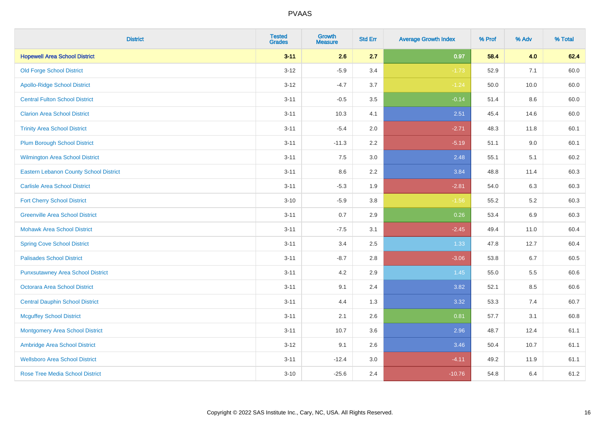| <b>District</b>                               | <b>Tested</b><br><b>Grades</b> | <b>Growth</b><br><b>Measure</b> | <b>Std Err</b> | <b>Average Growth Index</b> | % Prof | % Adv | % Total |
|-----------------------------------------------|--------------------------------|---------------------------------|----------------|-----------------------------|--------|-------|---------|
| <b>Hopewell Area School District</b>          | $3 - 11$                       | 2.6                             | 2.7            | 0.97                        | 58.4   | 4.0   | 62.4    |
| <b>Old Forge School District</b>              | $3 - 12$                       | $-5.9$                          | 3.4            | $-1.73$                     | 52.9   | 7.1   | 60.0    |
| <b>Apollo-Ridge School District</b>           | $3 - 12$                       | $-4.7$                          | 3.7            | $-1.24$                     | 50.0   | 10.0  | 60.0    |
| <b>Central Fulton School District</b>         | $3 - 11$                       | $-0.5$                          | 3.5            | $-0.14$                     | 51.4   | 8.6   | 60.0    |
| <b>Clarion Area School District</b>           | $3 - 11$                       | 10.3                            | 4.1            | 2.51                        | 45.4   | 14.6  | 60.0    |
| <b>Trinity Area School District</b>           | $3 - 11$                       | $-5.4$                          | 2.0            | $-2.71$                     | 48.3   | 11.8  | 60.1    |
| <b>Plum Borough School District</b>           | $3 - 11$                       | $-11.3$                         | 2.2            | $-5.19$                     | 51.1   | 9.0   | 60.1    |
| <b>Wilmington Area School District</b>        | $3 - 11$                       | 7.5                             | 3.0            | 2.48                        | 55.1   | 5.1   | 60.2    |
| <b>Eastern Lebanon County School District</b> | $3 - 11$                       | 8.6                             | 2.2            | 3.84                        | 48.8   | 11.4  | 60.3    |
| <b>Carlisle Area School District</b>          | $3 - 11$                       | $-5.3$                          | 1.9            | $-2.81$                     | 54.0   | 6.3   | 60.3    |
| <b>Fort Cherry School District</b>            | $3 - 10$                       | $-5.9$                          | 3.8            | $-1.56$                     | 55.2   | 5.2   | 60.3    |
| <b>Greenville Area School District</b>        | $3 - 11$                       | 0.7                             | 2.9            | 0.26                        | 53.4   | 6.9   | 60.3    |
| <b>Mohawk Area School District</b>            | $3 - 11$                       | $-7.5$                          | 3.1            | $-2.45$                     | 49.4   | 11.0  | 60.4    |
| <b>Spring Cove School District</b>            | $3 - 11$                       | 3.4                             | 2.5            | 1.33                        | 47.8   | 12.7  | 60.4    |
| <b>Palisades School District</b>              | $3 - 11$                       | $-8.7$                          | 2.8            | $-3.06$                     | 53.8   | 6.7   | 60.5    |
| <b>Punxsutawney Area School District</b>      | $3 - 11$                       | 4.2                             | 2.9            | 1.45                        | 55.0   | 5.5   | 60.6    |
| <b>Octorara Area School District</b>          | $3 - 11$                       | 9.1                             | 2.4            | 3.82                        | 52.1   | 8.5   | 60.6    |
| <b>Central Dauphin School District</b>        | $3 - 11$                       | 4.4                             | 1.3            | 3.32                        | 53.3   | 7.4   | 60.7    |
| <b>Mcguffey School District</b>               | $3 - 11$                       | 2.1                             | 2.6            | 0.81                        | 57.7   | 3.1   | 60.8    |
| <b>Montgomery Area School District</b>        | $3 - 11$                       | 10.7                            | 3.6            | 2.96                        | 48.7   | 12.4  | 61.1    |
| Ambridge Area School District                 | $3 - 12$                       | 9.1                             | 2.6            | 3.46                        | 50.4   | 10.7  | 61.1    |
| <b>Wellsboro Area School District</b>         | $3 - 11$                       | $-12.4$                         | 3.0            | $-4.11$                     | 49.2   | 11.9  | 61.1    |
| <b>Rose Tree Media School District</b>        | $3 - 10$                       | $-25.6$                         | 2.4            | $-10.76$                    | 54.8   | 6.4   | 61.2    |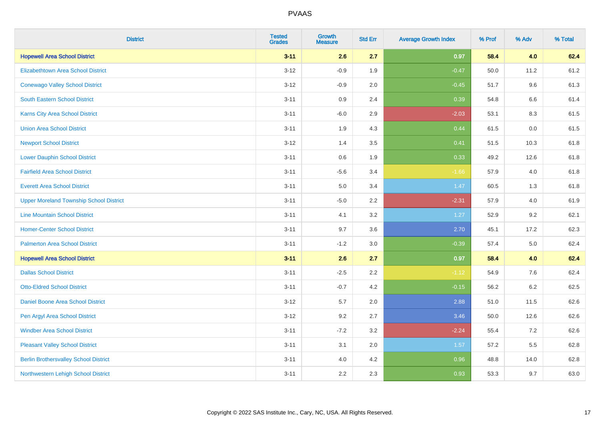| <b>District</b>                                | <b>Tested</b><br><b>Grades</b> | <b>Growth</b><br><b>Measure</b> | <b>Std Err</b> | <b>Average Growth Index</b> | % Prof | % Adv   | % Total |
|------------------------------------------------|--------------------------------|---------------------------------|----------------|-----------------------------|--------|---------|---------|
| <b>Hopewell Area School District</b>           | $3 - 11$                       | 2.6                             | 2.7            | 0.97                        | 58.4   | 4.0     | 62.4    |
| <b>Elizabethtown Area School District</b>      | $3 - 12$                       | $-0.9$                          | 1.9            | $-0.47$                     | 50.0   | 11.2    | 61.2    |
| <b>Conewago Valley School District</b>         | $3 - 12$                       | $-0.9$                          | 2.0            | $-0.45$                     | 51.7   | 9.6     | 61.3    |
| <b>South Eastern School District</b>           | $3 - 11$                       | 0.9                             | 2.4            | 0.39                        | 54.8   | 6.6     | 61.4    |
| <b>Karns City Area School District</b>         | $3 - 11$                       | $-6.0$                          | 2.9            | $-2.03$                     | 53.1   | 8.3     | 61.5    |
| <b>Union Area School District</b>              | $3 - 11$                       | 1.9                             | 4.3            | 0.44                        | 61.5   | 0.0     | 61.5    |
| <b>Newport School District</b>                 | $3 - 12$                       | 1.4                             | 3.5            | 0.41                        | 51.5   | 10.3    | 61.8    |
| <b>Lower Dauphin School District</b>           | $3 - 11$                       | $0.6\,$                         | 1.9            | 0.33                        | 49.2   | 12.6    | 61.8    |
| <b>Fairfield Area School District</b>          | $3 - 11$                       | $-5.6$                          | 3.4            | $-1.66$                     | 57.9   | 4.0     | 61.8    |
| <b>Everett Area School District</b>            | $3 - 11$                       | 5.0                             | 3.4            | 1.47                        | 60.5   | 1.3     | 61.8    |
| <b>Upper Moreland Township School District</b> | $3 - 11$                       | $-5.0$                          | 2.2            | $-2.31$                     | 57.9   | 4.0     | 61.9    |
| <b>Line Mountain School District</b>           | $3 - 11$                       | 4.1                             | 3.2            | 1.27                        | 52.9   | 9.2     | 62.1    |
| <b>Homer-Center School District</b>            | $3 - 11$                       | 9.7                             | 3.6            | 2.70                        | 45.1   | 17.2    | 62.3    |
| <b>Palmerton Area School District</b>          | $3 - 11$                       | $-1.2$                          | 3.0            | $-0.39$                     | 57.4   | 5.0     | 62.4    |
| <b>Hopewell Area School District</b>           | $3 - 11$                       | 2.6                             | 2.7            | 0.97                        | 58.4   | 4.0     | 62.4    |
| <b>Dallas School District</b>                  | $3 - 11$                       | $-2.5$                          | 2.2            | $-1.12$                     | 54.9   | 7.6     | 62.4    |
| <b>Otto-Eldred School District</b>             | $3 - 11$                       | $-0.7$                          | 4.2            | $-0.15$                     | 56.2   | $6.2\,$ | 62.5    |
| <b>Daniel Boone Area School District</b>       | $3 - 12$                       | 5.7                             | 2.0            | 2.88                        | 51.0   | 11.5    | 62.6    |
| Pen Argyl Area School District                 | $3 - 12$                       | 9.2                             | 2.7            | 3.46                        | 50.0   | 12.6    | 62.6    |
| <b>Windber Area School District</b>            | $3 - 11$                       | $-7.2$                          | 3.2            | $-2.24$                     | 55.4   | 7.2     | 62.6    |
| <b>Pleasant Valley School District</b>         | $3 - 11$                       | 3.1                             | 2.0            | 1.57                        | 57.2   | 5.5     | 62.8    |
| <b>Berlin Brothersvalley School District</b>   | $3 - 11$                       | 4.0                             | 4.2            | 0.96                        | 48.8   | 14.0    | 62.8    |
| Northwestern Lehigh School District            | $3 - 11$                       | 2.2                             | 2.3            | 0.93                        | 53.3   | 9.7     | 63.0    |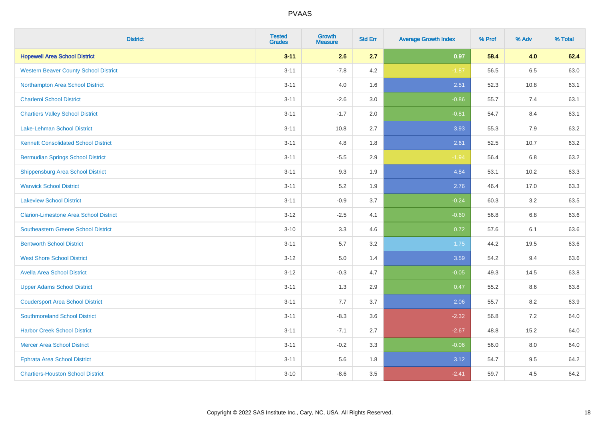| <b>District</b>                               | <b>Tested</b><br><b>Grades</b> | <b>Growth</b><br><b>Measure</b> | <b>Std Err</b> | <b>Average Growth Index</b> | % Prof | % Adv | % Total |
|-----------------------------------------------|--------------------------------|---------------------------------|----------------|-----------------------------|--------|-------|---------|
| <b>Hopewell Area School District</b>          | $3 - 11$                       | 2.6                             | 2.7            | 0.97                        | 58.4   | 4.0   | 62.4    |
| <b>Western Beaver County School District</b>  | $3 - 11$                       | $-7.8$                          | 4.2            | $-1.87$                     | 56.5   | 6.5   | 63.0    |
| Northampton Area School District              | $3 - 11$                       | 4.0                             | 1.6            | 2.51                        | 52.3   | 10.8  | 63.1    |
| <b>Charleroi School District</b>              | $3 - 11$                       | $-2.6$                          | 3.0            | $-0.86$                     | 55.7   | 7.4   | 63.1    |
| <b>Chartiers Valley School District</b>       | $3 - 11$                       | $-1.7$                          | 2.0            | $-0.81$                     | 54.7   | 8.4   | 63.1    |
| <b>Lake-Lehman School District</b>            | $3 - 11$                       | 10.8                            | 2.7            | 3.93                        | 55.3   | 7.9   | 63.2    |
| <b>Kennett Consolidated School District</b>   | $3 - 11$                       | 4.8                             | 1.8            | 2.61                        | 52.5   | 10.7  | 63.2    |
| <b>Bermudian Springs School District</b>      | $3 - 11$                       | $-5.5$                          | 2.9            | $-1.94$                     | 56.4   | 6.8   | 63.2    |
| <b>Shippensburg Area School District</b>      | $3 - 11$                       | 9.3                             | 1.9            | 4.84                        | 53.1   | 10.2  | 63.3    |
| <b>Warwick School District</b>                | $3 - 11$                       | 5.2                             | 1.9            | 2.76                        | 46.4   | 17.0  | 63.3    |
| <b>Lakeview School District</b>               | $3 - 11$                       | $-0.9$                          | 3.7            | $-0.24$                     | 60.3   | 3.2   | 63.5    |
| <b>Clarion-Limestone Area School District</b> | $3 - 12$                       | $-2.5$                          | 4.1            | $-0.60$                     | 56.8   | 6.8   | 63.6    |
| Southeastern Greene School District           | $3 - 10$                       | 3.3                             | 4.6            | 0.72                        | 57.6   | 6.1   | 63.6    |
| <b>Bentworth School District</b>              | $3 - 11$                       | 5.7                             | 3.2            | 1.75                        | 44.2   | 19.5  | 63.6    |
| <b>West Shore School District</b>             | $3 - 12$                       | 5.0                             | 1.4            | 3.59                        | 54.2   | 9.4   | 63.6    |
| <b>Avella Area School District</b>            | $3 - 12$                       | $-0.3$                          | 4.7            | $-0.05$                     | 49.3   | 14.5  | 63.8    |
| <b>Upper Adams School District</b>            | $3 - 11$                       | 1.3                             | 2.9            | 0.47                        | 55.2   | 8.6   | 63.8    |
| <b>Coudersport Area School District</b>       | $3 - 11$                       | 7.7                             | 3.7            | 2.06                        | 55.7   | 8.2   | 63.9    |
| <b>Southmoreland School District</b>          | $3 - 11$                       | $-8.3$                          | 3.6            | $-2.32$                     | 56.8   | 7.2   | 64.0    |
| <b>Harbor Creek School District</b>           | $3 - 11$                       | $-7.1$                          | 2.7            | $-2.67$                     | 48.8   | 15.2  | 64.0    |
| <b>Mercer Area School District</b>            | $3 - 11$                       | $-0.2$                          | 3.3            | $-0.06$                     | 56.0   | 8.0   | 64.0    |
| <b>Ephrata Area School District</b>           | $3 - 11$                       | 5.6                             | 1.8            | 3.12                        | 54.7   | 9.5   | 64.2    |
| <b>Chartiers-Houston School District</b>      | $3 - 10$                       | $-8.6$                          | 3.5            | $-2.41$                     | 59.7   | 4.5   | 64.2    |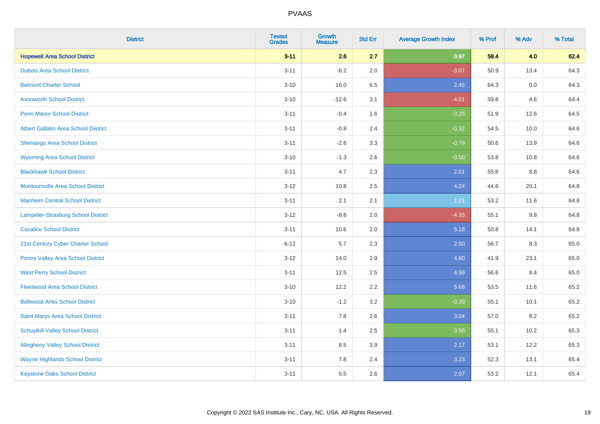| <b>District</b>                             | <b>Tested</b><br><b>Grades</b> | <b>Growth</b><br><b>Measure</b> | <b>Std Err</b> | <b>Average Growth Index</b> | % Prof | % Adv   | % Total |
|---------------------------------------------|--------------------------------|---------------------------------|----------------|-----------------------------|--------|---------|---------|
| <b>Hopewell Area School District</b>        | $3 - 11$                       | 2.6                             | 2.7            | 0.97                        | 58.4   | 4.0     | 62.4    |
| <b>Dubois Area School District</b>          | $3 - 11$                       | $-6.2$                          | 2.0            | $-3.07$                     | 50.9   | 13.4    | 64.3    |
| <b>Belmont Charter School</b>               | $3 - 10$                       | 16.0                            | 6.5            | 2.45                        | 64.3   | $0.0\,$ | 64.3    |
| <b>Avonworth School District</b>            | $3 - 10$                       | $-12.6$                         | 3.1            | $-4.01$                     | 59.8   | 4.6     | 64.4    |
| <b>Penn Manor School District</b>           | $3 - 11$                       | $-0.4$                          | 1.6            | $-0.25$                     | 51.9   | 12.6    | 64.5    |
| <b>Albert Gallatin Area School District</b> | $3 - 11$                       | $-0.8$                          | 2.4            | $-0.32$                     | 54.5   | 10.0    | 64.6    |
| Shenango Area School District               | $3 - 11$                       | $-2.6$                          | 3.3            | $-0.79$                     | 50.6   | 13.9    | 64.6    |
| <b>Wyoming Area School District</b>         | $3 - 10$                       | $-1.3$                          | 2.6            | $-0.50$                     | 53.8   | 10.8    | 64.6    |
| <b>Blackhawk School District</b>            | $3 - 11$                       | 4.7                             | 2.3            | 2.01                        | 55.8   | $8.8\,$ | 64.6    |
| <b>Montoursville Area School District</b>   | $3 - 12$                       | 10.8                            | 2.5            | 4.24                        | 44.6   | 20.1    | 64.8    |
| <b>Manheim Central School District</b>      | $3 - 11$                       | 2.1                             | 2.1            | 1.01                        | 53.2   | 11.6    | 64.8    |
| Lampeter-Strasburg School District          | $3 - 12$                       | $-8.6$                          | 2.0            | $-4.33$                     | 55.1   | $9.8\,$ | 64.8    |
| <b>Cocalico School District</b>             | $3 - 11$                       | 10.6                            | 2.0            | 5.18                        | 50.8   | 14.1    | 64.8    |
| 21st Century Cyber Charter School           | $6 - 12$                       | 5.7                             | 2.3            | 2.50                        | 56.7   | 8.3     | 65.0    |
| Penns Valley Area School District           | $3-12$                         | 14.0                            | 2.9            | 4.80                        | 41.9   | 23.1    | 65.0    |
| <b>West Perry School District</b>           | $3 - 11$                       | 12.5                            | 2.5            | 4.99                        | 56.6   | 8.4     | 65.0    |
| <b>Fleetwood Area School District</b>       | $3 - 10$                       | 12.2                            | 2.2            | 5.68                        | 53.5   | 11.6    | 65.2    |
| <b>Bellwood-Antis School District</b>       | $3 - 10$                       | $-1.2$                          | 3.2            | $-0.39$                     | 55.1   | 10.1    | 65.2    |
| Saint Marys Area School District            | $3 - 11$                       | 7.8                             | 2.6            | 3.04                        | 57.0   | 8.2     | 65.2    |
| <b>Schuylkill Valley School District</b>    | $3 - 11$                       | 1.4                             | 2.5            | 0.56                        | 55.1   | 10.2    | 65.3    |
| <b>Allegheny Valley School District</b>     | $3 - 11$                       | 8.5                             | 3.9            | 2.17                        | 53.1   | 12.2    | 65.3    |
| <b>Wayne Highlands School District</b>      | $3 - 11$                       | 7.8                             | 2.4            | 3.23                        | 52.3   | 13.1    | 65.4    |
| <b>Keystone Oaks School District</b>        | $3 - 11$                       | 5.5                             | 2.6            | 2.07                        | 53.2   | 12.1    | 65.4    |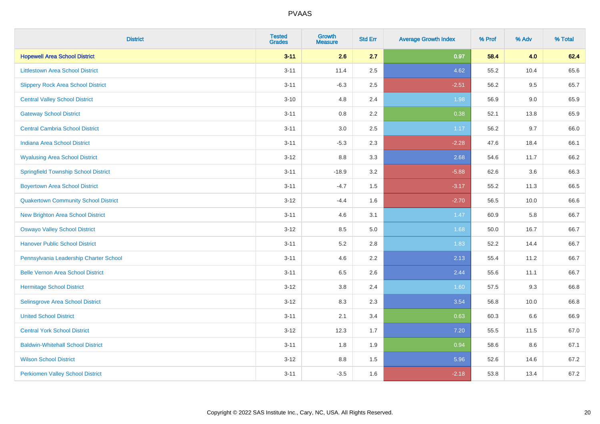| <b>District</b>                             | <b>Tested</b><br><b>Grades</b> | <b>Growth</b><br><b>Measure</b> | <b>Std Err</b> | <b>Average Growth Index</b> | % Prof | % Adv | % Total |
|---------------------------------------------|--------------------------------|---------------------------------|----------------|-----------------------------|--------|-------|---------|
| <b>Hopewell Area School District</b>        | $3 - 11$                       | 2.6                             | 2.7            | 0.97                        | 58.4   | 4.0   | 62.4    |
| <b>Littlestown Area School District</b>     | $3 - 11$                       | 11.4                            | 2.5            | 4.62                        | 55.2   | 10.4  | 65.6    |
| <b>Slippery Rock Area School District</b>   | $3 - 11$                       | $-6.3$                          | 2.5            | $-2.51$                     | 56.2   | 9.5   | 65.7    |
| <b>Central Valley School District</b>       | $3 - 10$                       | 4.8                             | 2.4            | 1.98                        | 56.9   | 9.0   | 65.9    |
| <b>Gateway School District</b>              | $3 - 11$                       | 0.8                             | 2.2            | 0.38                        | 52.1   | 13.8  | 65.9    |
| <b>Central Cambria School District</b>      | $3 - 11$                       | $3.0\,$                         | 2.5            | 1.17                        | 56.2   | 9.7   | 66.0    |
| Indiana Area School District                | $3 - 11$                       | $-5.3$                          | 2.3            | $-2.28$                     | 47.6   | 18.4  | 66.1    |
| <b>Wyalusing Area School District</b>       | $3 - 12$                       | 8.8                             | 3.3            | 2.68                        | 54.6   | 11.7  | 66.2    |
| <b>Springfield Township School District</b> | $3 - 11$                       | $-18.9$                         | 3.2            | $-5.88$                     | 62.6   | 3.6   | 66.3    |
| <b>Boyertown Area School District</b>       | $3 - 11$                       | $-4.7$                          | 1.5            | $-3.17$                     | 55.2   | 11.3  | 66.5    |
| <b>Quakertown Community School District</b> | $3 - 12$                       | $-4.4$                          | 1.6            | $-2.70$                     | 56.5   | 10.0  | 66.6    |
| <b>New Brighton Area School District</b>    | $3 - 11$                       | 4.6                             | 3.1            | 1.47                        | 60.9   | 5.8   | 66.7    |
| <b>Oswayo Valley School District</b>        | $3 - 12$                       | 8.5                             | 5.0            | 1.68                        | 50.0   | 16.7  | 66.7    |
| <b>Hanover Public School District</b>       | $3 - 11$                       | 5.2                             | 2.8            | 1.83                        | 52.2   | 14.4  | 66.7    |
| Pennsylvania Leadership Charter School      | $3 - 11$                       | 4.6                             | 2.2            | 2.13                        | 55.4   | 11.2  | 66.7    |
| <b>Belle Vernon Area School District</b>    | $3 - 11$                       | 6.5                             | 2.6            | 2.44                        | 55.6   | 11.1  | 66.7    |
| <b>Hermitage School District</b>            | $3 - 12$                       | 3.8                             | 2.4            | 1.60                        | 57.5   | 9.3   | 66.8    |
| Selinsgrove Area School District            | $3 - 12$                       | 8.3                             | 2.3            | 3.54                        | 56.8   | 10.0  | 66.8    |
| <b>United School District</b>               | $3 - 11$                       | 2.1                             | 3.4            | 0.63                        | 60.3   | 6.6   | 66.9    |
| <b>Central York School District</b>         | $3 - 12$                       | 12.3                            | 1.7            | 7.20                        | 55.5   | 11.5  | 67.0    |
| <b>Baldwin-Whitehall School District</b>    | $3 - 11$                       | 1.8                             | 1.9            | 0.94                        | 58.6   | 8.6   | 67.1    |
| <b>Wilson School District</b>               | $3 - 12$                       | 8.8                             | 1.5            | 5.96                        | 52.6   | 14.6  | 67.2    |
| <b>Perkiomen Valley School District</b>     | $3 - 11$                       | $-3.5$                          | 1.6            | $-2.18$                     | 53.8   | 13.4  | 67.2    |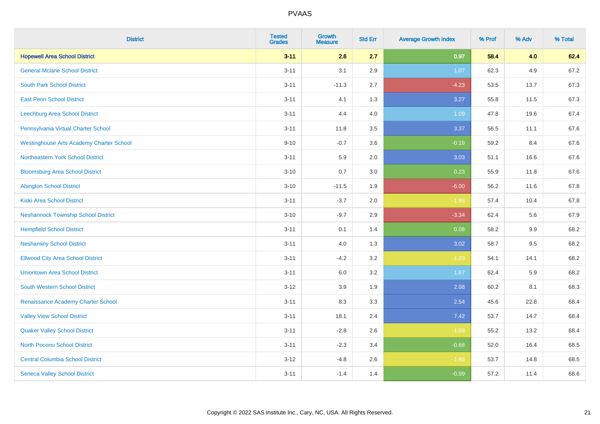| <b>District</b>                                 | <b>Tested</b><br><b>Grades</b> | <b>Growth</b><br><b>Measure</b> | <b>Std Err</b> | <b>Average Growth Index</b> | % Prof | % Adv | % Total |
|-------------------------------------------------|--------------------------------|---------------------------------|----------------|-----------------------------|--------|-------|---------|
| <b>Hopewell Area School District</b>            | $3 - 11$                       | 2.6                             | 2.7            | 0.97                        | 58.4   | 4.0   | 62.4    |
| <b>General Mclane School District</b>           | $3 - 11$                       | 3.1                             | 2.9            | 1.07                        | 62.3   | 4.9   | 67.2    |
| <b>South Park School District</b>               | $3 - 11$                       | $-11.3$                         | 2.7            | $-4.23$                     | 53.5   | 13.7  | 67.3    |
| <b>East Penn School District</b>                | $3 - 11$                       | 4.1                             | 1.3            | 3.27                        | 55.8   | 11.5  | 67.3    |
| Leechburg Area School District                  | $3 - 11$                       | 4.4                             | 4.0            | 1.09                        | 47.8   | 19.6  | 67.4    |
| Pennsylvania Virtual Charter School             | $3 - 11$                       | 11.8                            | 3.5            | 3.37                        | 56.5   | 11.1  | 67.6    |
| <b>Westinghouse Arts Academy Charter School</b> | $9 - 10$                       | $-0.7$                          | 3.6            | $-0.19$                     | 59.2   | 8.4   | 67.6    |
| Northeastern York School District               | $3 - 11$                       | 5.9                             | 2.0            | 3.03                        | 51.1   | 16.6  | 67.6    |
| <b>Bloomsburg Area School District</b>          | $3 - 10$                       | 0.7                             | 3.0            | 0.23                        | 55.9   | 11.8  | 67.6    |
| <b>Abington School District</b>                 | $3 - 10$                       | $-11.5$                         | 1.9            | $-6.00$                     | 56.2   | 11.6  | 67.8    |
| <b>Kiski Area School District</b>               | $3 - 11$                       | $-3.7$                          | 2.0            | $-1.86$                     | 57.4   | 10.4  | 67.8    |
| <b>Neshannock Township School District</b>      | $3 - 10$                       | $-9.7$                          | 2.9            | $-3.34$                     | 62.4   | 5.6   | 67.9    |
| <b>Hempfield School District</b>                | $3 - 11$                       | 0.1                             | 1.4            | 0.08                        | 58.2   | 9.9   | 68.2    |
| <b>Neshaminy School District</b>                | $3 - 11$                       | 4.0                             | 1.3            | 3.02                        | 58.7   | 9.5   | 68.2    |
| <b>Ellwood City Area School District</b>        | $3 - 11$                       | $-4.2$                          | 3.2            | $-1.29$                     | 54.1   | 14.1  | 68.2    |
| <b>Uniontown Area School District</b>           | $3 - 11$                       | 6.0                             | 3.2            | 1.87                        | 62.4   | 5.9   | 68.2    |
| <b>South Western School District</b>            | $3 - 12$                       | 3.9                             | 1.9            | 2.08                        | 60.2   | 8.1   | 68.3    |
| Renaissance Academy Charter School              | $3 - 11$                       | 8.3                             | 3.3            | 2.54                        | 45.6   | 22.8  | 68.4    |
| <b>Valley View School District</b>              | $3 - 11$                       | 18.1                            | 2.4            | 7.42                        | 53.7   | 14.7  | 68.4    |
| <b>Quaker Valley School District</b>            | $3 - 11$                       | $-2.8$                          | 2.6            | $-1.08$                     | 55.2   | 13.2  | 68.4    |
| North Pocono School District                    | $3 - 11$                       | $-2.3$                          | 3.4            | $-0.68$                     | 52.0   | 16.4  | 68.5    |
| <b>Central Columbia School District</b>         | $3 - 12$                       | $-4.8$                          | 2.6            | $-1.86$                     | 53.7   | 14.8  | 68.5    |
| <b>Seneca Valley School District</b>            | $3 - 11$                       | $-1.4$                          | 1.4            | $-0.99$                     | 57.2   | 11.4  | 68.6    |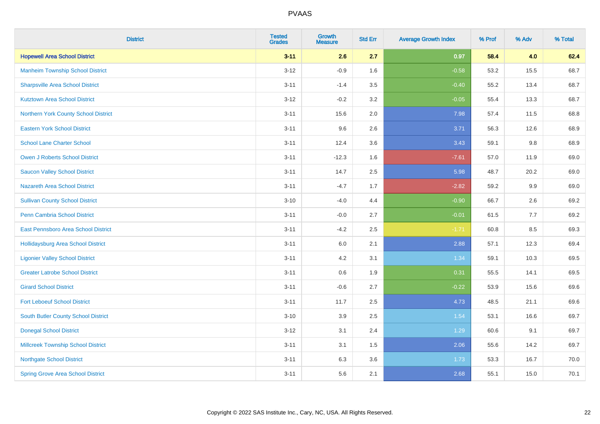| <b>District</b>                           | <b>Tested</b><br><b>Grades</b> | <b>Growth</b><br><b>Measure</b> | <b>Std Err</b> | <b>Average Growth Index</b> | % Prof | % Adv | % Total |
|-------------------------------------------|--------------------------------|---------------------------------|----------------|-----------------------------|--------|-------|---------|
| <b>Hopewell Area School District</b>      | $3 - 11$                       | 2.6                             | 2.7            | 0.97                        | 58.4   | 4.0   | 62.4    |
| <b>Manheim Township School District</b>   | $3 - 12$                       | $-0.9$                          | 1.6            | $-0.58$                     | 53.2   | 15.5  | 68.7    |
| <b>Sharpsville Area School District</b>   | $3 - 11$                       | $-1.4$                          | 3.5            | $-0.40$                     | 55.2   | 13.4  | 68.7    |
| <b>Kutztown Area School District</b>      | $3 - 12$                       | $-0.2$                          | 3.2            | $-0.05$                     | 55.4   | 13.3  | 68.7    |
| Northern York County School District      | $3 - 11$                       | 15.6                            | 2.0            | 7.98                        | 57.4   | 11.5  | 68.8    |
| <b>Eastern York School District</b>       | $3 - 11$                       | 9.6                             | 2.6            | 3.71                        | 56.3   | 12.6  | 68.9    |
| <b>School Lane Charter School</b>         | $3 - 11$                       | 12.4                            | 3.6            | 3.43                        | 59.1   | 9.8   | 68.9    |
| <b>Owen J Roberts School District</b>     | $3 - 11$                       | $-12.3$                         | 1.6            | $-7.61$                     | 57.0   | 11.9  | 69.0    |
| <b>Saucon Valley School District</b>      | $3 - 11$                       | 14.7                            | 2.5            | 5.98                        | 48.7   | 20.2  | 69.0    |
| <b>Nazareth Area School District</b>      | $3 - 11$                       | $-4.7$                          | 1.7            | $-2.82$                     | 59.2   | 9.9   | 69.0    |
| <b>Sullivan County School District</b>    | $3 - 10$                       | $-4.0$                          | 4.4            | $-0.90$                     | 66.7   | 2.6   | 69.2    |
| Penn Cambria School District              | $3 - 11$                       | $-0.0$                          | 2.7            | $-0.01$                     | 61.5   | 7.7   | 69.2    |
| East Pennsboro Area School District       | $3 - 11$                       | $-4.2$                          | 2.5            | $-1.71$                     | 60.8   | 8.5   | 69.3    |
| <b>Hollidaysburg Area School District</b> | $3 - 11$                       | 6.0                             | 2.1            | 2.88                        | 57.1   | 12.3  | 69.4    |
| <b>Ligonier Valley School District</b>    | $3 - 11$                       | 4.2                             | 3.1            | 1.34                        | 59.1   | 10.3  | 69.5    |
| <b>Greater Latrobe School District</b>    | $3 - 11$                       | 0.6                             | 1.9            | 0.31                        | 55.5   | 14.1  | 69.5    |
| <b>Girard School District</b>             | $3 - 11$                       | $-0.6$                          | 2.7            | $-0.22$                     | 53.9   | 15.6  | 69.6    |
| <b>Fort Leboeuf School District</b>       | $3 - 11$                       | 11.7                            | 2.5            | 4.73                        | 48.5   | 21.1  | 69.6    |
| South Butler County School District       | $3 - 10$                       | 3.9                             | 2.5            | 1.54                        | 53.1   | 16.6  | 69.7    |
| <b>Donegal School District</b>            | $3-12$                         | 3.1                             | 2.4            | 1.29                        | 60.6   | 9.1   | 69.7    |
| <b>Millcreek Township School District</b> | $3 - 11$                       | 3.1                             | 1.5            | 2.06                        | 55.6   | 14.2  | 69.7    |
| <b>Northgate School District</b>          | $3 - 11$                       | 6.3                             | 3.6            | 1.73                        | 53.3   | 16.7  | 70.0    |
| <b>Spring Grove Area School District</b>  | $3 - 11$                       | 5.6                             | 2.1            | 2.68                        | 55.1   | 15.0  | 70.1    |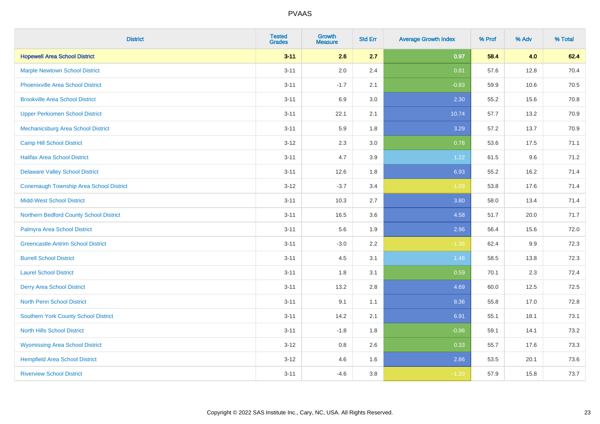| <b>District</b>                                | <b>Tested</b><br><b>Grades</b> | <b>Growth</b><br><b>Measure</b> | <b>Std Err</b> | <b>Average Growth Index</b> | % Prof | % Adv | % Total |
|------------------------------------------------|--------------------------------|---------------------------------|----------------|-----------------------------|--------|-------|---------|
| <b>Hopewell Area School District</b>           | $3 - 11$                       | 2.6                             | 2.7            | 0.97                        | 58.4   | 4.0   | 62.4    |
| <b>Marple Newtown School District</b>          | $3 - 11$                       | 2.0                             | 2.4            | 0.81                        | 57.6   | 12.8  | 70.4    |
| <b>Phoenixville Area School District</b>       | $3 - 11$                       | $-1.7$                          | 2.1            | $-0.83$                     | 59.9   | 10.6  | 70.5    |
| <b>Brookville Area School District</b>         | $3 - 11$                       | 6.9                             | 3.0            | 2.30                        | 55.2   | 15.6  | 70.8    |
| <b>Upper Perkiomen School District</b>         | $3 - 11$                       | 22.1                            | 2.1            | 10.74                       | 57.7   | 13.2  | 70.9    |
| Mechanicsburg Area School District             | $3 - 11$                       | 5.9                             | 1.8            | 3.29                        | 57.2   | 13.7  | 70.9    |
| <b>Camp Hill School District</b>               | $3 - 12$                       | 2.3                             | 3.0            | 0.78                        | 53.6   | 17.5  | 71.1    |
| <b>Halifax Area School District</b>            | $3 - 11$                       | 4.7                             | 3.9            | 1.22                        | 61.5   | 9.6   | 71.2    |
| <b>Delaware Valley School District</b>         | $3 - 11$                       | 12.6                            | 1.8            | 6.93                        | 55.2   | 16.2  | 71.4    |
| <b>Conemaugh Township Area School District</b> | $3 - 12$                       | $-3.7$                          | 3.4            | $-1.09$                     | 53.8   | 17.6  | 71.4    |
| <b>Midd-West School District</b>               | $3 - 11$                       | 10.3                            | 2.7            | 3.80                        | 58.0   | 13.4  | 71.4    |
| Northern Bedford County School District        | $3 - 11$                       | 16.5                            | 3.6            | 4.58                        | 51.7   | 20.0  | 71.7    |
| Palmyra Area School District                   | $3 - 11$                       | 5.6                             | 1.9            | 2.96                        | 56.4   | 15.6  | 72.0    |
| <b>Greencastle-Antrim School District</b>      | $3 - 11$                       | $-3.0$                          | 2.2            | $-1.36$                     | 62.4   | 9.9   | 72.3    |
| <b>Burrell School District</b>                 | $3 - 11$                       | 4.5                             | 3.1            | 1.48                        | 58.5   | 13.8  | 72.3    |
| <b>Laurel School District</b>                  | $3 - 11$                       | 1.8                             | 3.1            | 0.59                        | 70.1   | 2.3   | 72.4    |
| <b>Derry Area School District</b>              | $3 - 11$                       | 13.2                            | 2.8            | 4.69                        | 60.0   | 12.5  | 72.5    |
| North Penn School District                     | $3 - 11$                       | 9.1                             | 1.1            | 8.36                        | 55.8   | 17.0  | 72.8    |
| <b>Southern York County School District</b>    | $3 - 11$                       | 14.2                            | 2.1            | 6.91                        | 55.1   | 18.1  | 73.1    |
| <b>North Hills School District</b>             | $3 - 11$                       | $-1.8$                          | 1.8            | $-0.96$                     | 59.1   | 14.1  | 73.2    |
| <b>Wyomissing Area School District</b>         | $3 - 12$                       | 0.8                             | 2.6            | 0.33                        | 55.7   | 17.6  | 73.3    |
| <b>Hempfield Area School District</b>          | $3 - 12$                       | 4.6                             | 1.6            | 2.86                        | 53.5   | 20.1  | 73.6    |
| <b>Riverview School District</b>               | $3 - 11$                       | $-4.6$                          | 3.8            | $-1.20$                     | 57.9   | 15.8  | 73.7    |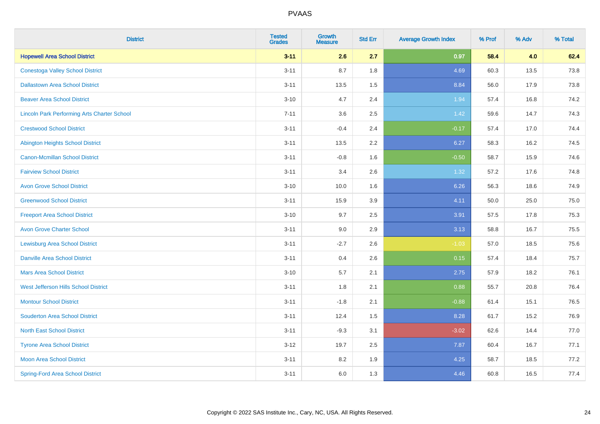| <b>District</b>                                    | <b>Tested</b><br><b>Grades</b> | <b>Growth</b><br><b>Measure</b> | <b>Std Err</b> | <b>Average Growth Index</b> | % Prof | % Adv | % Total |
|----------------------------------------------------|--------------------------------|---------------------------------|----------------|-----------------------------|--------|-------|---------|
| <b>Hopewell Area School District</b>               | $3 - 11$                       | 2.6                             | 2.7            | 0.97                        | 58.4   | 4.0   | 62.4    |
| <b>Conestoga Valley School District</b>            | $3 - 11$                       | 8.7                             | 1.8            | 4.69                        | 60.3   | 13.5  | 73.8    |
| <b>Dallastown Area School District</b>             | $3 - 11$                       | 13.5                            | 1.5            | 8.84                        | 56.0   | 17.9  | 73.8    |
| <b>Beaver Area School District</b>                 | $3 - 10$                       | 4.7                             | 2.4            | 1.94                        | 57.4   | 16.8  | 74.2    |
| <b>Lincoln Park Performing Arts Charter School</b> | $7 - 11$                       | 3.6                             | 2.5            | 1.42                        | 59.6   | 14.7  | 74.3    |
| <b>Crestwood School District</b>                   | $3 - 11$                       | $-0.4$                          | 2.4            | $-0.17$                     | 57.4   | 17.0  | 74.4    |
| <b>Abington Heights School District</b>            | $3 - 11$                       | 13.5                            | 2.2            | 6.27                        | 58.3   | 16.2  | 74.5    |
| <b>Canon-Mcmillan School District</b>              | $3 - 11$                       | $-0.8$                          | 1.6            | $-0.50$                     | 58.7   | 15.9  | 74.6    |
| <b>Fairview School District</b>                    | $3 - 11$                       | 3.4                             | 2.6            | 1.32                        | 57.2   | 17.6  | 74.8    |
| <b>Avon Grove School District</b>                  | $3 - 10$                       | 10.0                            | 1.6            | 6.26                        | 56.3   | 18.6  | 74.9    |
| <b>Greenwood School District</b>                   | $3 - 11$                       | 15.9                            | 3.9            | 4.11                        | 50.0   | 25.0  | 75.0    |
| <b>Freeport Area School District</b>               | $3 - 10$                       | 9.7                             | 2.5            | 3.91                        | 57.5   | 17.8  | 75.3    |
| <b>Avon Grove Charter School</b>                   | $3 - 11$                       | 9.0                             | 2.9            | 3.13                        | 58.8   | 16.7  | 75.5    |
| <b>Lewisburg Area School District</b>              | $3 - 11$                       | $-2.7$                          | 2.6            | $-1.03$                     | 57.0   | 18.5  | 75.6    |
| <b>Danville Area School District</b>               | $3 - 11$                       | 0.4                             | 2.6            | 0.15                        | 57.4   | 18.4  | 75.7    |
| <b>Mars Area School District</b>                   | $3 - 10$                       | 5.7                             | 2.1            | 2.75                        | 57.9   | 18.2  | 76.1    |
| West Jefferson Hills School District               | $3 - 11$                       | 1.8                             | 2.1            | 0.88                        | 55.7   | 20.8  | 76.4    |
| <b>Montour School District</b>                     | $3 - 11$                       | $-1.8$                          | 2.1            | $-0.88$                     | 61.4   | 15.1  | 76.5    |
| <b>Souderton Area School District</b>              | $3 - 11$                       | 12.4                            | 1.5            | 8.28                        | 61.7   | 15.2  | 76.9    |
| <b>North East School District</b>                  | $3 - 11$                       | $-9.3$                          | 3.1            | $-3.02$                     | 62.6   | 14.4  | 77.0    |
| <b>Tyrone Area School District</b>                 | $3-12$                         | 19.7                            | 2.5            | 7.87                        | 60.4   | 16.7  | 77.1    |
| <b>Moon Area School District</b>                   | $3 - 11$                       | 8.2                             | 1.9            | 4.25                        | 58.7   | 18.5  | 77.2    |
| <b>Spring-Ford Area School District</b>            | $3 - 11$                       | 6.0                             | 1.3            | 4.46                        | 60.8   | 16.5  | 77.4    |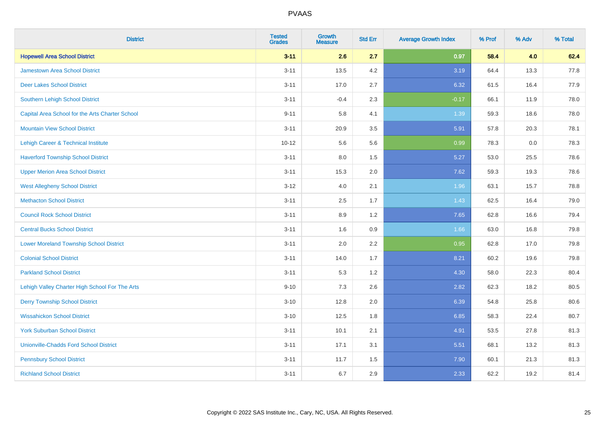| <b>District</b>                                 | <b>Tested</b><br><b>Grades</b> | <b>Growth</b><br><b>Measure</b> | <b>Std Err</b> | <b>Average Growth Index</b> | % Prof | % Adv   | % Total |
|-------------------------------------------------|--------------------------------|---------------------------------|----------------|-----------------------------|--------|---------|---------|
| <b>Hopewell Area School District</b>            | $3 - 11$                       | 2.6                             | 2.7            | 0.97                        | 58.4   | 4.0     | 62.4    |
| Jamestown Area School District                  | $3 - 11$                       | 13.5                            | 4.2            | 3.19                        | 64.4   | 13.3    | 77.8    |
| <b>Deer Lakes School District</b>               | $3 - 11$                       | 17.0                            | 2.7            | 6.32                        | 61.5   | 16.4    | 77.9    |
| <b>Southern Lehigh School District</b>          | $3 - 11$                       | $-0.4$                          | 2.3            | $-0.17$                     | 66.1   | 11.9    | 78.0    |
| Capital Area School for the Arts Charter School | $9 - 11$                       | 5.8                             | 4.1            | 1.39                        | 59.3   | 18.6    | 78.0    |
| <b>Mountain View School District</b>            | $3 - 11$                       | 20.9                            | 3.5            | 5.91                        | 57.8   | 20.3    | 78.1    |
| <b>Lehigh Career &amp; Technical Institute</b>  | $10 - 12$                      | 5.6                             | 5.6            | 0.99                        | 78.3   | $0.0\,$ | 78.3    |
| <b>Haverford Township School District</b>       | $3 - 11$                       | 8.0                             | 1.5            | 5.27                        | 53.0   | 25.5    | 78.6    |
| <b>Upper Merion Area School District</b>        | $3 - 11$                       | 15.3                            | 2.0            | 7.62                        | 59.3   | 19.3    | 78.6    |
| <b>West Allegheny School District</b>           | $3 - 12$                       | 4.0                             | 2.1            | 1.96                        | 63.1   | 15.7    | 78.8    |
| <b>Methacton School District</b>                | $3 - 11$                       | 2.5                             | 1.7            | 1.43                        | 62.5   | 16.4    | 79.0    |
| <b>Council Rock School District</b>             | $3 - 11$                       | 8.9                             | 1.2            | 7.65                        | 62.8   | 16.6    | 79.4    |
| <b>Central Bucks School District</b>            | $3 - 11$                       | 1.6                             | 0.9            | 1.66                        | 63.0   | 16.8    | 79.8    |
| <b>Lower Moreland Township School District</b>  | $3 - 11$                       | 2.0                             | 2.2            | 0.95                        | 62.8   | 17.0    | 79.8    |
| <b>Colonial School District</b>                 | $3 - 11$                       | 14.0                            | 1.7            | 8.21                        | 60.2   | 19.6    | 79.8    |
| <b>Parkland School District</b>                 | $3 - 11$                       | 5.3                             | 1.2            | 4.30                        | 58.0   | 22.3    | 80.4    |
| Lehigh Valley Charter High School For The Arts  | $9 - 10$                       | 7.3                             | 2.6            | 2.82                        | 62.3   | 18.2    | 80.5    |
| <b>Derry Township School District</b>           | $3 - 10$                       | 12.8                            | 2.0            | 6.39                        | 54.8   | 25.8    | 80.6    |
| <b>Wissahickon School District</b>              | $3 - 10$                       | 12.5                            | 1.8            | 6.85                        | 58.3   | 22.4    | 80.7    |
| <b>York Suburban School District</b>            | $3 - 11$                       | 10.1                            | 2.1            | 4.91                        | 53.5   | 27.8    | 81.3    |
| <b>Unionville-Chadds Ford School District</b>   | $3 - 11$                       | 17.1                            | 3.1            | 5.51                        | 68.1   | 13.2    | 81.3    |
| <b>Pennsbury School District</b>                | $3 - 11$                       | 11.7                            | 1.5            | 7.90                        | 60.1   | 21.3    | 81.3    |
| <b>Richland School District</b>                 | $3 - 11$                       | 6.7                             | 2.9            | 2.33                        | 62.2   | 19.2    | 81.4    |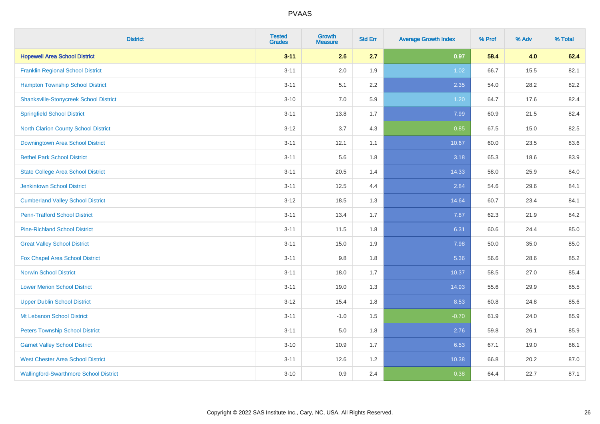| <b>District</b>                               | <b>Tested</b><br><b>Grades</b> | <b>Growth</b><br><b>Measure</b> | <b>Std Err</b> | <b>Average Growth Index</b> | % Prof | % Adv | % Total |
|-----------------------------------------------|--------------------------------|---------------------------------|----------------|-----------------------------|--------|-------|---------|
| <b>Hopewell Area School District</b>          | $3 - 11$                       | 2.6                             | 2.7            | 0.97                        | 58.4   | 4.0   | 62.4    |
| <b>Franklin Regional School District</b>      | $3 - 11$                       | 2.0                             | 1.9            | 1.02                        | 66.7   | 15.5  | 82.1    |
| <b>Hampton Township School District</b>       | $3 - 11$                       | 5.1                             | 2.2            | 2.35                        | 54.0   | 28.2  | 82.2    |
| <b>Shanksville-Stonycreek School District</b> | $3 - 10$                       | 7.0                             | 5.9            | 1.20                        | 64.7   | 17.6  | 82.4    |
| <b>Springfield School District</b>            | $3 - 11$                       | 13.8                            | 1.7            | 7.99                        | 60.9   | 21.5  | 82.4    |
| <b>North Clarion County School District</b>   | $3 - 12$                       | 3.7                             | 4.3            | 0.85                        | 67.5   | 15.0  | 82.5    |
| <b>Downingtown Area School District</b>       | $3 - 11$                       | 12.1                            | 1.1            | 10.67                       | 60.0   | 23.5  | 83.6    |
| <b>Bethel Park School District</b>            | $3 - 11$                       | 5.6                             | 1.8            | 3.18                        | 65.3   | 18.6  | 83.9    |
| <b>State College Area School District</b>     | $3 - 11$                       | 20.5                            | 1.4            | 14.33                       | 58.0   | 25.9  | 84.0    |
| <b>Jenkintown School District</b>             | $3 - 11$                       | 12.5                            | 4.4            | 2.84                        | 54.6   | 29.6  | 84.1    |
| <b>Cumberland Valley School District</b>      | $3 - 12$                       | 18.5                            | 1.3            | 14.64                       | 60.7   | 23.4  | 84.1    |
| <b>Penn-Trafford School District</b>          | $3 - 11$                       | 13.4                            | 1.7            | 7.87                        | 62.3   | 21.9  | 84.2    |
| <b>Pine-Richland School District</b>          | $3 - 11$                       | 11.5                            | 1.8            | 6.31                        | 60.6   | 24.4  | 85.0    |
| <b>Great Valley School District</b>           | $3 - 11$                       | 15.0                            | 1.9            | 7.98                        | 50.0   | 35.0  | 85.0    |
| Fox Chapel Area School District               | $3 - 11$                       | 9.8                             | 1.8            | 5.36                        | 56.6   | 28.6  | 85.2    |
| <b>Norwin School District</b>                 | $3 - 11$                       | 18.0                            | 1.7            | 10.37                       | 58.5   | 27.0  | 85.4    |
| <b>Lower Merion School District</b>           | $3 - 11$                       | 19.0                            | 1.3            | 14.93                       | 55.6   | 29.9  | 85.5    |
| <b>Upper Dublin School District</b>           | $3 - 12$                       | 15.4                            | 1.8            | 8.53                        | 60.8   | 24.8  | 85.6    |
| Mt Lebanon School District                    | $3 - 11$                       | $-1.0$                          | 1.5            | $-0.70$                     | 61.9   | 24.0  | 85.9    |
| <b>Peters Township School District</b>        | $3 - 11$                       | 5.0                             | 1.8            | 2.76                        | 59.8   | 26.1  | 85.9    |
| <b>Garnet Valley School District</b>          | $3 - 10$                       | 10.9                            | 1.7            | 6.53                        | 67.1   | 19.0  | 86.1    |
| <b>West Chester Area School District</b>      | $3 - 11$                       | 12.6                            | 1.2            | 10.38                       | 66.8   | 20.2  | 87.0    |
| <b>Wallingford-Swarthmore School District</b> | $3 - 10$                       | 0.9                             | 2.4            | 0.38                        | 64.4   | 22.7  | 87.1    |